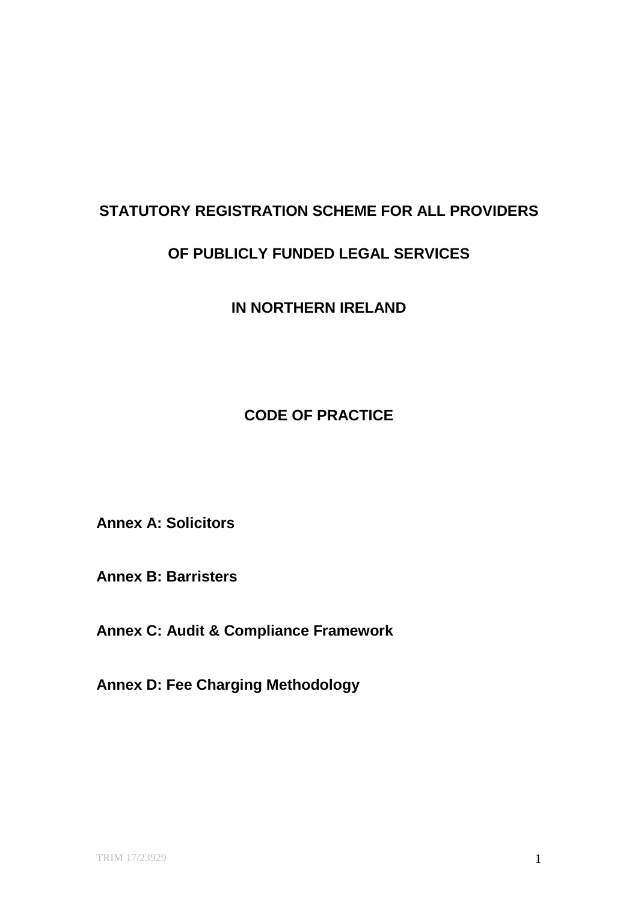# **STATUTORY REGISTRATION SCHEME FOR ALL PROVIDERS**

# **OF PUBLICLY FUNDED LEGAL SERVICES**

**IN NORTHERN IRELAND**

**CODE OF PRACTICE**

**Annex A: Solicitors**

**Annex B: Barristers**

**Annex C: Audit & Compliance Framework**

**Annex D: Fee Charging Methodology**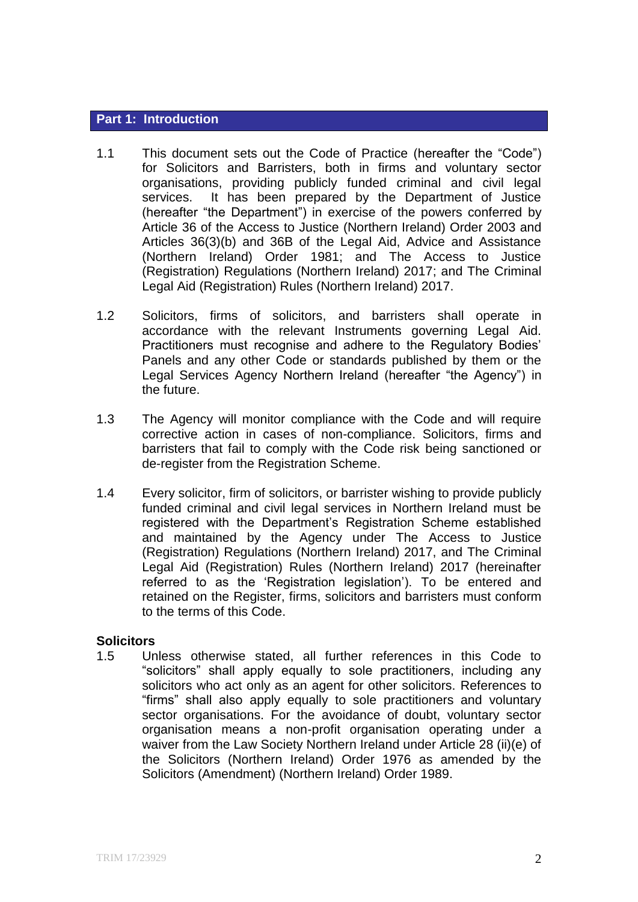#### **Part 1: Introduction**

- 1.1 This document sets out the Code of Practice (hereafter the "Code") for Solicitors and Barristers, both in firms and voluntary sector organisations, providing publicly funded criminal and civil legal services. It has been prepared by the Department of Justice (hereafter "the Department") in exercise of the powers conferred by Article 36 of the Access to Justice (Northern Ireland) Order 2003 and Articles 36(3)(b) and 36B of the Legal Aid, Advice and Assistance (Northern Ireland) Order 1981; and The Access to Justice (Registration) Regulations (Northern Ireland) 2017; and The Criminal Legal Aid (Registration) Rules (Northern Ireland) 2017.
- 1.2 Solicitors, firms of solicitors, and barristers shall operate in accordance with the relevant Instruments governing Legal Aid. Practitioners must recognise and adhere to the Regulatory Bodies' Panels and any other Code or standards published by them or the Legal Services Agency Northern Ireland (hereafter "the Agency") in the future.
- 1.3 The Agency will monitor compliance with the Code and will require corrective action in cases of non-compliance. Solicitors, firms and barristers that fail to comply with the Code risk being sanctioned or de-register from the Registration Scheme.
- 1.4 Every solicitor, firm of solicitors, or barrister wishing to provide publicly funded criminal and civil legal services in Northern Ireland must be registered with the Department's Registration Scheme established and maintained by the Agency under The Access to Justice (Registration) Regulations (Northern Ireland) 2017, and The Criminal Legal Aid (Registration) Rules (Northern Ireland) 2017 (hereinafter referred to as the 'Registration legislation'). To be entered and retained on the Register, firms, solicitors and barristers must conform to the terms of this Code.

#### **Solicitors**

1.5 Unless otherwise stated, all further references in this Code to "solicitors" shall apply equally to sole practitioners, including any solicitors who act only as an agent for other solicitors. References to "firms" shall also apply equally to sole practitioners and voluntary sector organisations. For the avoidance of doubt, voluntary sector organisation means a non-profit organisation operating under a waiver from the Law Society Northern Ireland under Article 28 (ii)(e) of the Solicitors (Northern Ireland) Order 1976 as amended by the Solicitors (Amendment) (Northern Ireland) Order 1989.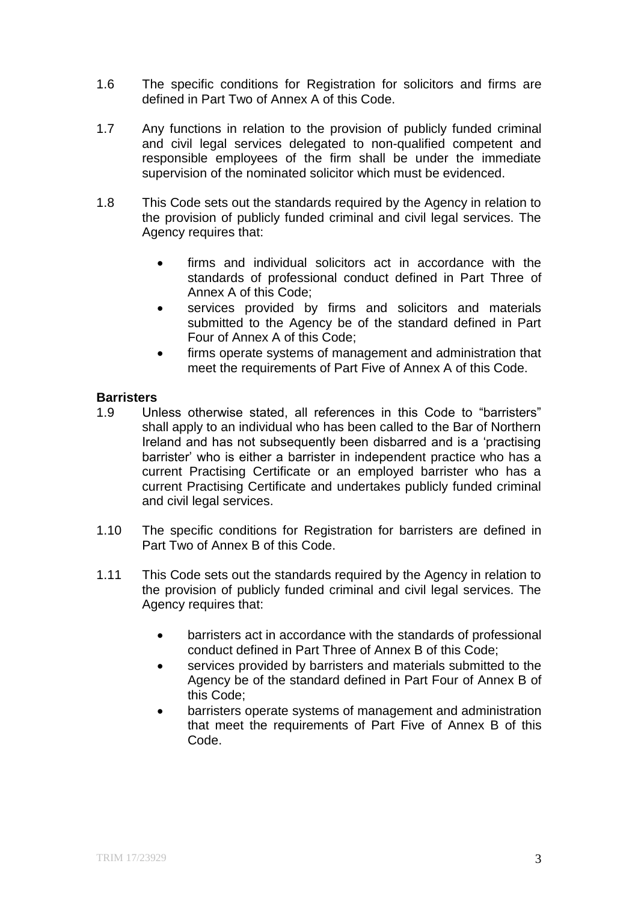- 1.6 The specific conditions for Registration for solicitors and firms are defined in Part Two of Annex A of this Code.
- 1.7 Any functions in relation to the provision of publicly funded criminal and civil legal services delegated to non-qualified competent and responsible employees of the firm shall be under the immediate supervision of the nominated solicitor which must be evidenced.
- 1.8 This Code sets out the standards required by the Agency in relation to the provision of publicly funded criminal and civil legal services. The Agency requires that:
	- firms and individual solicitors act in accordance with the standards of professional conduct defined in Part Three of Annex A of this Code;
	- services provided by firms and solicitors and materials submitted to the Agency be of the standard defined in Part Four of Annex A of this Code;
	- firms operate systems of management and administration that meet the requirements of Part Five of Annex A of this Code.

#### **Barristers**

- 1.9 Unless otherwise stated, all references in this Code to "barristers" shall apply to an individual who has been called to the Bar of Northern Ireland and has not subsequently been disbarred and is a 'practising barrister' who is either a barrister in independent practice who has a current Practising Certificate or an employed barrister who has a current Practising Certificate and undertakes publicly funded criminal and civil legal services.
- 1.10 The specific conditions for Registration for barristers are defined in Part Two of Annex B of this Code.
- 1.11 This Code sets out the standards required by the Agency in relation to the provision of publicly funded criminal and civil legal services. The Agency requires that:
	- barristers act in accordance with the standards of professional conduct defined in Part Three of Annex B of this Code;
	- services provided by barristers and materials submitted to the Agency be of the standard defined in Part Four of Annex B of this Code;
	- barristers operate systems of management and administration that meet the requirements of Part Five of Annex B of this Code.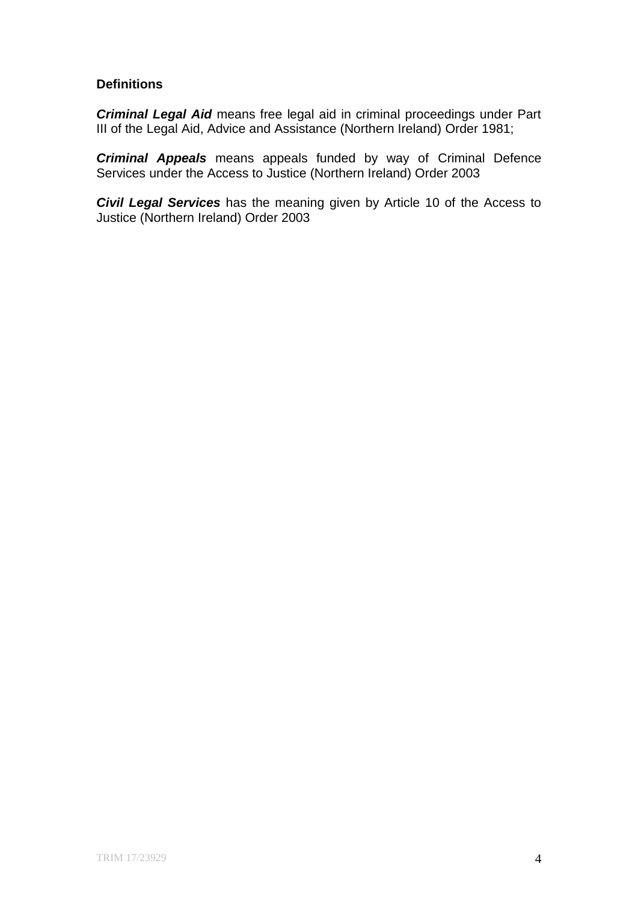# **Definitions**

*Criminal Legal Aid* means free legal aid in criminal proceedings under Part III of the Legal Aid, Advice and Assistance (Northern Ireland) Order 1981;

*Criminal Appeals* means appeals funded by way of Criminal Defence Services under the Access to Justice (Northern Ireland) Order 2003

*Civil Legal Services* has the meaning given by Article 10 of the Access to Justice (Northern Ireland) Order 2003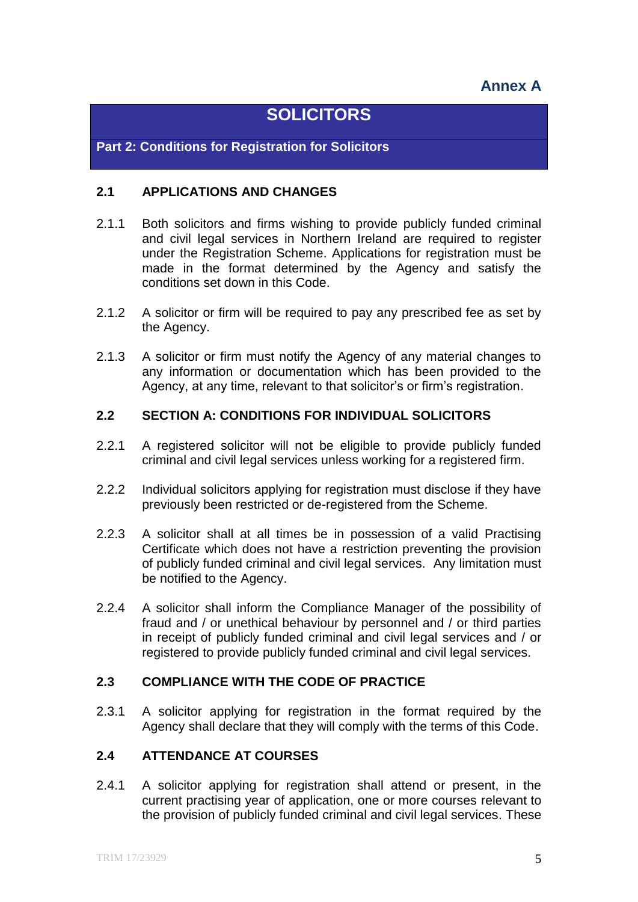# **Annex A**

# **SOLICITORS**

**Part 2: Conditions for Registration for Solicitors**

# **2.1 APPLICATIONS AND CHANGES**

- 2.1.1 Both solicitors and firms wishing to provide publicly funded criminal and civil legal services in Northern Ireland are required to register under the Registration Scheme. Applications for registration must be made in the format determined by the Agency and satisfy the conditions set down in this Code.
- 2.1.2 A solicitor or firm will be required to pay any prescribed fee as set by the Agency.
- 2.1.3 A solicitor or firm must notify the Agency of any material changes to any information or documentation which has been provided to the Agency, at any time, relevant to that solicitor's or firm's registration.

# **2.2 SECTION A: CONDITIONS FOR INDIVIDUAL SOLICITORS**

- 2.2.1 A registered solicitor will not be eligible to provide publicly funded criminal and civil legal services unless working for a registered firm.
- 2.2.2 Individual solicitors applying for registration must disclose if they have previously been restricted or de-registered from the Scheme.
- 2.2.3 A solicitor shall at all times be in possession of a valid Practising Certificate which does not have a restriction preventing the provision of publicly funded criminal and civil legal services. Any limitation must be notified to the Agency.
- 2.2.4 A solicitor shall inform the Compliance Manager of the possibility of fraud and / or unethical behaviour by personnel and / or third parties in receipt of publicly funded criminal and civil legal services and / or registered to provide publicly funded criminal and civil legal services.

# **2.3 COMPLIANCE WITH THE CODE OF PRACTICE**

2.3.1 A solicitor applying for registration in the format required by the Agency shall declare that they will comply with the terms of this Code.

# **2.4 ATTENDANCE AT COURSES**

2.4.1 A solicitor applying for registration shall attend or present, in the current practising year of application, one or more courses relevant to the provision of publicly funded criminal and civil legal services. These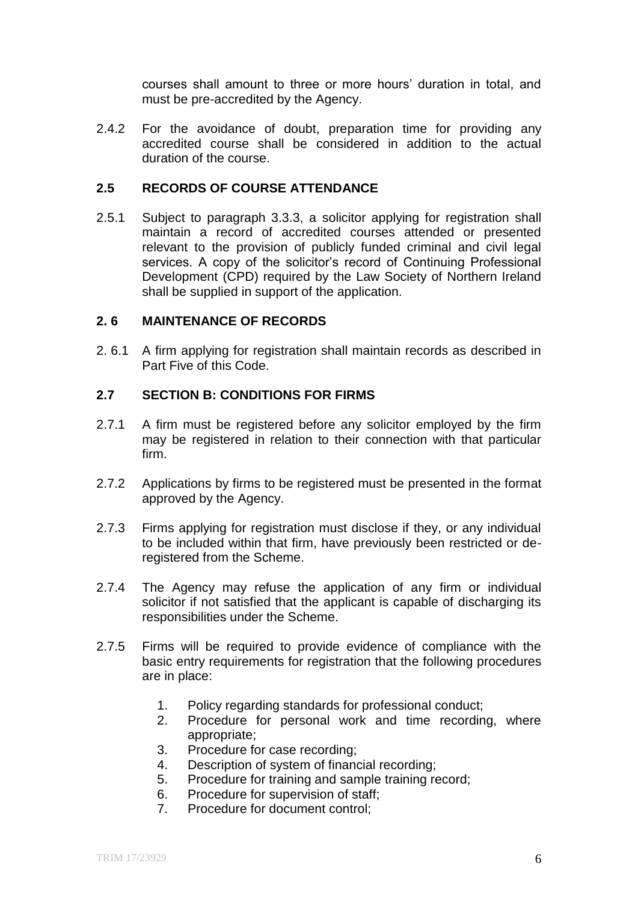courses shall amount to three or more hours' duration in total, and must be pre-accredited by the Agency.

2.4.2 For the avoidance of doubt, preparation time for providing any accredited course shall be considered in addition to the actual duration of the course.

#### **2.5 RECORDS OF COURSE ATTENDANCE**

2.5.1 Subject to paragraph 3.3.3, a solicitor applying for registration shall maintain a record of accredited courses attended or presented relevant to the provision of publicly funded criminal and civil legal services. A copy of the solicitor's record of Continuing Professional Development (CPD) required by the Law Society of Northern Ireland shall be supplied in support of the application.

#### **2. 6 MAINTENANCE OF RECORDS**

2. 6.1 A firm applying for registration shall maintain records as described in Part Five of this Code.

# **2.7 SECTION B: CONDITIONS FOR FIRMS**

- 2.7.1 A firm must be registered before any solicitor employed by the firm may be registered in relation to their connection with that particular firm.
- 2.7.2 Applications by firms to be registered must be presented in the format approved by the Agency.
- 2.7.3 Firms applying for registration must disclose if they, or any individual to be included within that firm, have previously been restricted or deregistered from the Scheme.
- 2.7.4 The Agency may refuse the application of any firm or individual solicitor if not satisfied that the applicant is capable of discharging its responsibilities under the Scheme.
- 2.7.5 Firms will be required to provide evidence of compliance with the basic entry requirements for registration that the following procedures are in place:
	- 1. Policy regarding standards for professional conduct;
	- 2. Procedure for personal work and time recording, where appropriate;
	- 3. Procedure for case recording;
	- 4. Description of system of financial recording;
	- 5. Procedure for training and sample training record;
	- 6. Procedure for supervision of staff;
	- 7. Procedure for document control;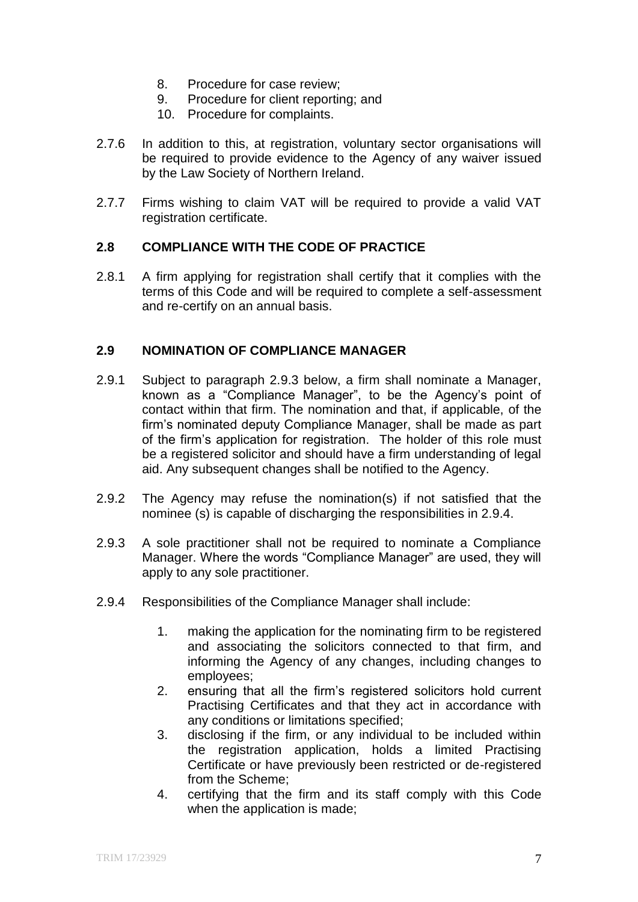- 8. Procedure for case review;
- 9. Procedure for client reporting; and
- 10. Procedure for complaints.
- 2.7.6 In addition to this, at registration, voluntary sector organisations will be required to provide evidence to the Agency of any waiver issued by the Law Society of Northern Ireland.
- 2.7.7 Firms wishing to claim VAT will be required to provide a valid VAT registration certificate.

# **2.8 COMPLIANCE WITH THE CODE OF PRACTICE**

2.8.1 A firm applying for registration shall certify that it complies with the terms of this Code and will be required to complete a self-assessment and re-certify on an annual basis.

# **2.9 NOMINATION OF COMPLIANCE MANAGER**

- 2.9.1 Subject to paragraph 2.9.3 below, a firm shall nominate a Manager, known as a "Compliance Manager", to be the Agency's point of contact within that firm. The nomination and that, if applicable, of the firm's nominated deputy Compliance Manager, shall be made as part of the firm's application for registration. The holder of this role must be a registered solicitor and should have a firm understanding of legal aid. Any subsequent changes shall be notified to the Agency.
- 2.9.2 The Agency may refuse the nomination(s) if not satisfied that the nominee (s) is capable of discharging the responsibilities in 2.9.4.
- 2.9.3 A sole practitioner shall not be required to nominate a Compliance Manager. Where the words "Compliance Manager" are used, they will apply to any sole practitioner.
- 2.9.4 Responsibilities of the Compliance Manager shall include:
	- 1. making the application for the nominating firm to be registered and associating the solicitors connected to that firm, and informing the Agency of any changes, including changes to employees;
	- 2. ensuring that all the firm's registered solicitors hold current Practising Certificates and that they act in accordance with any conditions or limitations specified;
	- 3. disclosing if the firm, or any individual to be included within the registration application, holds a limited Practising Certificate or have previously been restricted or de-registered from the Scheme;
	- 4. certifying that the firm and its staff comply with this Code when the application is made;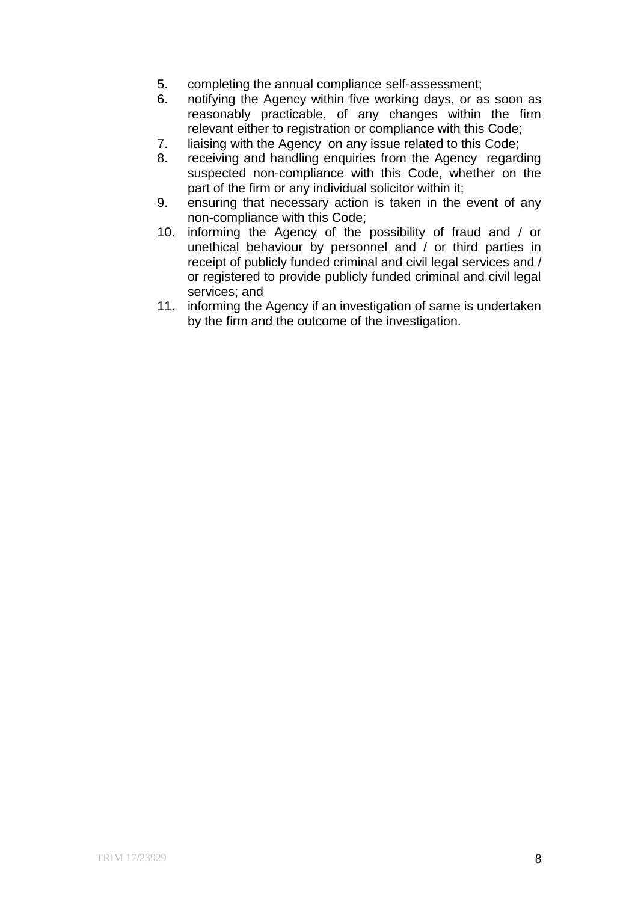- 5. completing the annual compliance self-assessment;
- 6. notifying the Agency within five working days, or as soon as reasonably practicable, of any changes within the firm relevant either to registration or compliance with this Code;
- 7. liaising with the Agency on any issue related to this Code;
- 8. receiving and handling enquiries from the Agency regarding suspected non-compliance with this Code, whether on the part of the firm or any individual solicitor within it;
- 9. ensuring that necessary action is taken in the event of any non-compliance with this Code;
- 10. informing the Agency of the possibility of fraud and / or unethical behaviour by personnel and / or third parties in receipt of publicly funded criminal and civil legal services and / or registered to provide publicly funded criminal and civil legal services; and
- 11. informing the Agency if an investigation of same is undertaken by the firm and the outcome of the investigation.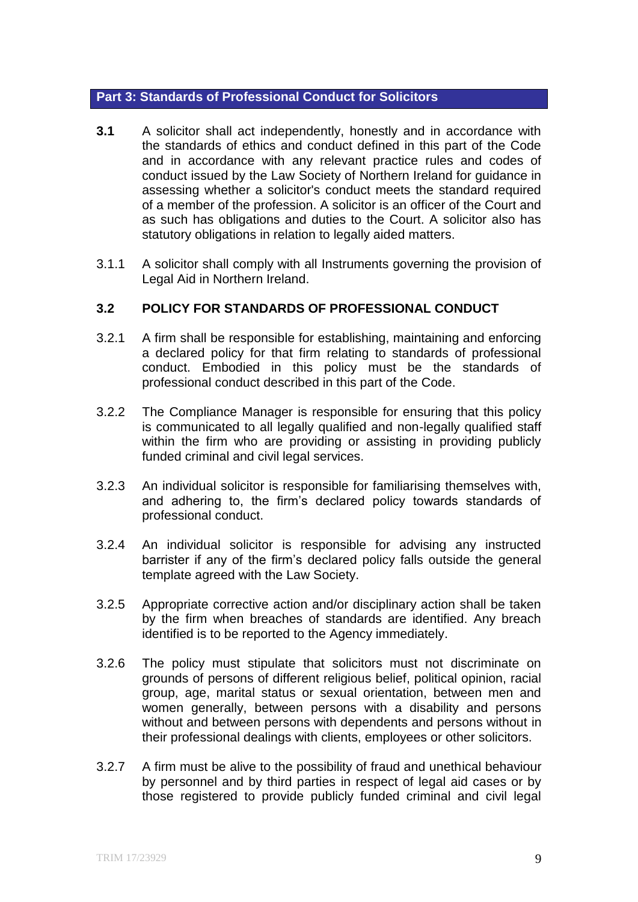# **Part 3: Standards of Professional Conduct for Solicitors**

- **3.1** A solicitor shall act independently, honestly and in accordance with the standards of ethics and conduct defined in this part of the Code and in accordance with any relevant practice rules and codes of conduct issued by the Law Society of Northern Ireland for guidance in assessing whether a solicitor's conduct meets the standard required of a member of the profession. A solicitor is an officer of the Court and as such has obligations and duties to the Court. A solicitor also has statutory obligations in relation to legally aided matters.
- 3.1.1 A solicitor shall comply with all Instruments governing the provision of Legal Aid in Northern Ireland.

# **3.2 POLICY FOR STANDARDS OF PROFESSIONAL CONDUCT**

- 3.2.1 A firm shall be responsible for establishing, maintaining and enforcing a declared policy for that firm relating to standards of professional conduct. Embodied in this policy must be the standards of professional conduct described in this part of the Code.
- 3.2.2 The Compliance Manager is responsible for ensuring that this policy is communicated to all legally qualified and non-legally qualified staff within the firm who are providing or assisting in providing publicly funded criminal and civil legal services.
- 3.2.3 An individual solicitor is responsible for familiarising themselves with, and adhering to, the firm's declared policy towards standards of professional conduct.
- 3.2.4 An individual solicitor is responsible for advising any instructed barrister if any of the firm's declared policy falls outside the general template agreed with the Law Society.
- 3.2.5 Appropriate corrective action and/or disciplinary action shall be taken by the firm when breaches of standards are identified. Any breach identified is to be reported to the Agency immediately.
- 3.2.6 The policy must stipulate that solicitors must not discriminate on grounds of persons of different religious belief, political opinion, racial group, age, marital status or sexual orientation, between men and women generally, between persons with a disability and persons without and between persons with dependents and persons without in their professional dealings with clients, employees or other solicitors.
- 3.2.7 A firm must be alive to the possibility of fraud and unethical behaviour by personnel and by third parties in respect of legal aid cases or by those registered to provide publicly funded criminal and civil legal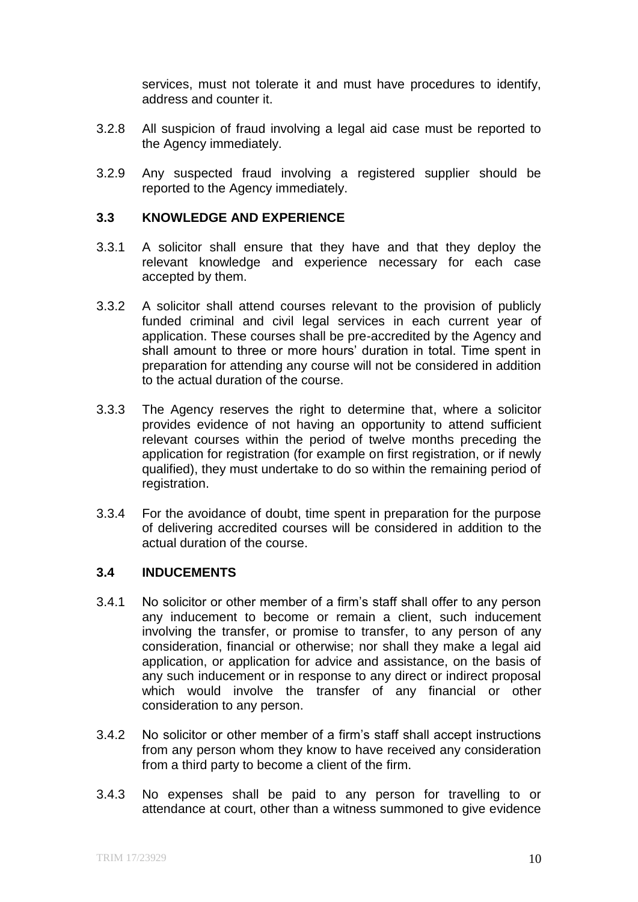services, must not tolerate it and must have procedures to identify, address and counter it.

- 3.2.8 All suspicion of fraud involving a legal aid case must be reported to the Agency immediately.
- 3.2.9 Any suspected fraud involving a registered supplier should be reported to the Agency immediately.

# **3.3 KNOWLEDGE AND EXPERIENCE**

- 3.3.1 A solicitor shall ensure that they have and that they deploy the relevant knowledge and experience necessary for each case accepted by them.
- 3.3.2 A solicitor shall attend courses relevant to the provision of publicly funded criminal and civil legal services in each current year of application. These courses shall be pre-accredited by the Agency and shall amount to three or more hours' duration in total. Time spent in preparation for attending any course will not be considered in addition to the actual duration of the course.
- 3.3.3 The Agency reserves the right to determine that, where a solicitor provides evidence of not having an opportunity to attend sufficient relevant courses within the period of twelve months preceding the application for registration (for example on first registration, or if newly qualified), they must undertake to do so within the remaining period of registration.
- 3.3.4 For the avoidance of doubt, time spent in preparation for the purpose of delivering accredited courses will be considered in addition to the actual duration of the course.

#### **3.4 INDUCEMENTS**

- 3.4.1 No solicitor or other member of a firm's staff shall offer to any person any inducement to become or remain a client, such inducement involving the transfer, or promise to transfer, to any person of any consideration, financial or otherwise; nor shall they make a legal aid application, or application for advice and assistance, on the basis of any such inducement or in response to any direct or indirect proposal which would involve the transfer of any financial or other consideration to any person.
- 3.4.2 No solicitor or other member of a firm's staff shall accept instructions from any person whom they know to have received any consideration from a third party to become a client of the firm.
- 3.4.3 No expenses shall be paid to any person for travelling to or attendance at court, other than a witness summoned to give evidence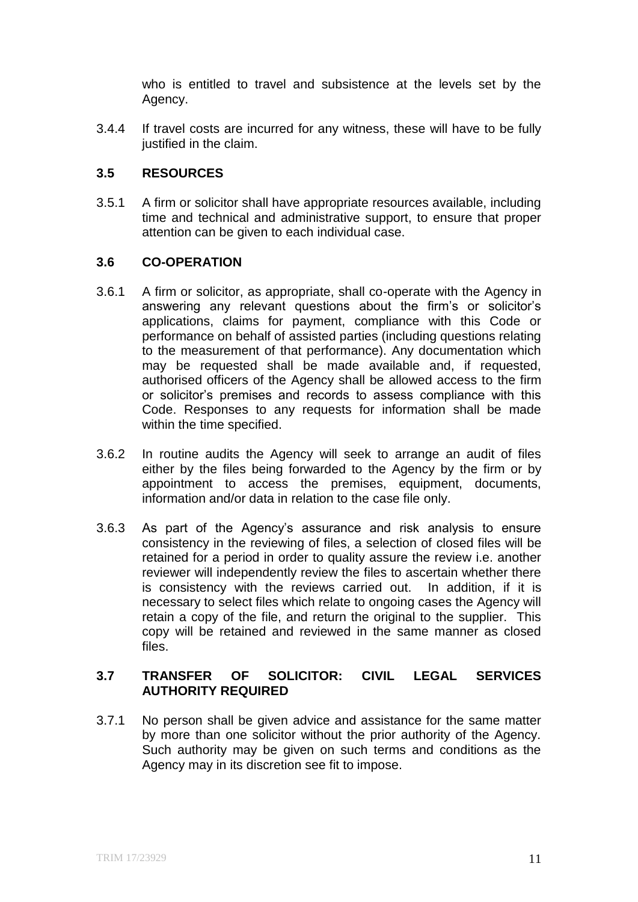who is entitled to travel and subsistence at the levels set by the Agency.

3.4.4 If travel costs are incurred for any witness, these will have to be fully justified in the claim.

# **3.5 RESOURCES**

3.5.1 A firm or solicitor shall have appropriate resources available, including time and technical and administrative support, to ensure that proper attention can be given to each individual case.

# **3.6 CO-OPERATION**

- 3.6.1 A firm or solicitor, as appropriate, shall co-operate with the Agency in answering any relevant questions about the firm's or solicitor's applications, claims for payment, compliance with this Code or performance on behalf of assisted parties (including questions relating to the measurement of that performance). Any documentation which may be requested shall be made available and, if requested, authorised officers of the Agency shall be allowed access to the firm or solicitor's premises and records to assess compliance with this Code. Responses to any requests for information shall be made within the time specified.
- 3.6.2 In routine audits the Agency will seek to arrange an audit of files either by the files being forwarded to the Agency by the firm or by appointment to access the premises, equipment, documents, information and/or data in relation to the case file only.
- 3.6.3 As part of the Agency's assurance and risk analysis to ensure consistency in the reviewing of files, a selection of closed files will be retained for a period in order to quality assure the review i.e. another reviewer will independently review the files to ascertain whether there is consistency with the reviews carried out. In addition, if it is necessary to select files which relate to ongoing cases the Agency will retain a copy of the file, and return the original to the supplier. This copy will be retained and reviewed in the same manner as closed files.

# **3.7 TRANSFER OF SOLICITOR: CIVIL LEGAL SERVICES AUTHORITY REQUIRED**

3.7.1 No person shall be given advice and assistance for the same matter by more than one solicitor without the prior authority of the Agency. Such authority may be given on such terms and conditions as the Agency may in its discretion see fit to impose.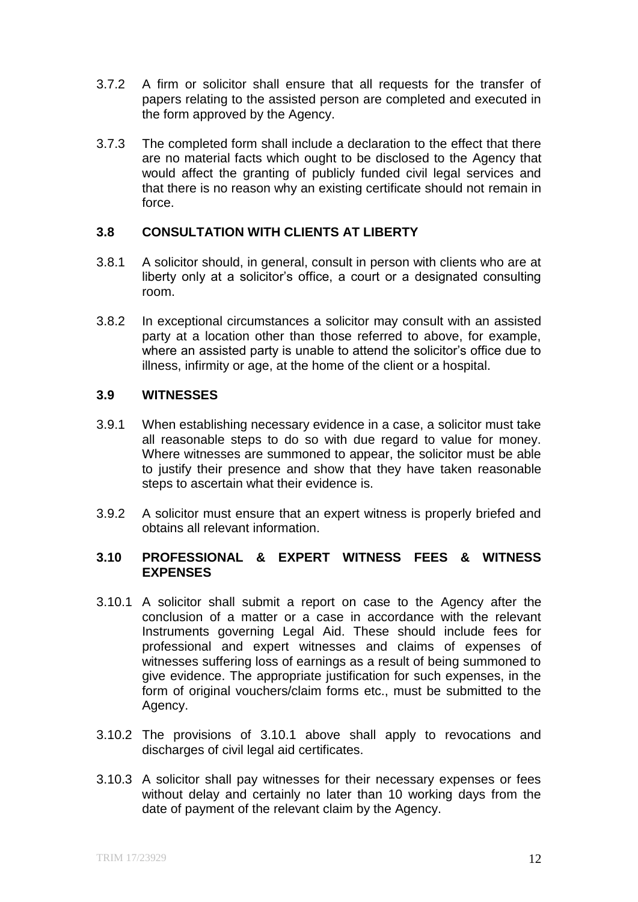- 3.7.2 A firm or solicitor shall ensure that all requests for the transfer of papers relating to the assisted person are completed and executed in the form approved by the Agency.
- 3.7.3 The completed form shall include a declaration to the effect that there are no material facts which ought to be disclosed to the Agency that would affect the granting of publicly funded civil legal services and that there is no reason why an existing certificate should not remain in force.

# **3.8 CONSULTATION WITH CLIENTS AT LIBERTY**

- 3.8.1 A solicitor should, in general, consult in person with clients who are at liberty only at a solicitor's office, a court or a designated consulting room.
- 3.8.2 In exceptional circumstances a solicitor may consult with an assisted party at a location other than those referred to above, for example, where an assisted party is unable to attend the solicitor's office due to illness, infirmity or age, at the home of the client or a hospital.

# **3.9 WITNESSES**

- 3.9.1 When establishing necessary evidence in a case, a solicitor must take all reasonable steps to do so with due regard to value for money. Where witnesses are summoned to appear, the solicitor must be able to justify their presence and show that they have taken reasonable steps to ascertain what their evidence is.
- 3.9.2 A solicitor must ensure that an expert witness is properly briefed and obtains all relevant information.

# **3.10 PROFESSIONAL & EXPERT WITNESS FEES & WITNESS EXPENSES**

- 3.10.1 A solicitor shall submit a report on case to the Agency after the conclusion of a matter or a case in accordance with the relevant Instruments governing Legal Aid. These should include fees for professional and expert witnesses and claims of expenses of witnesses suffering loss of earnings as a result of being summoned to give evidence. The appropriate justification for such expenses, in the form of original vouchers/claim forms etc., must be submitted to the Agency.
- 3.10.2 The provisions of 3.10.1 above shall apply to revocations and discharges of civil legal aid certificates.
- 3.10.3 A solicitor shall pay witnesses for their necessary expenses or fees without delay and certainly no later than 10 working days from the date of payment of the relevant claim by the Agency.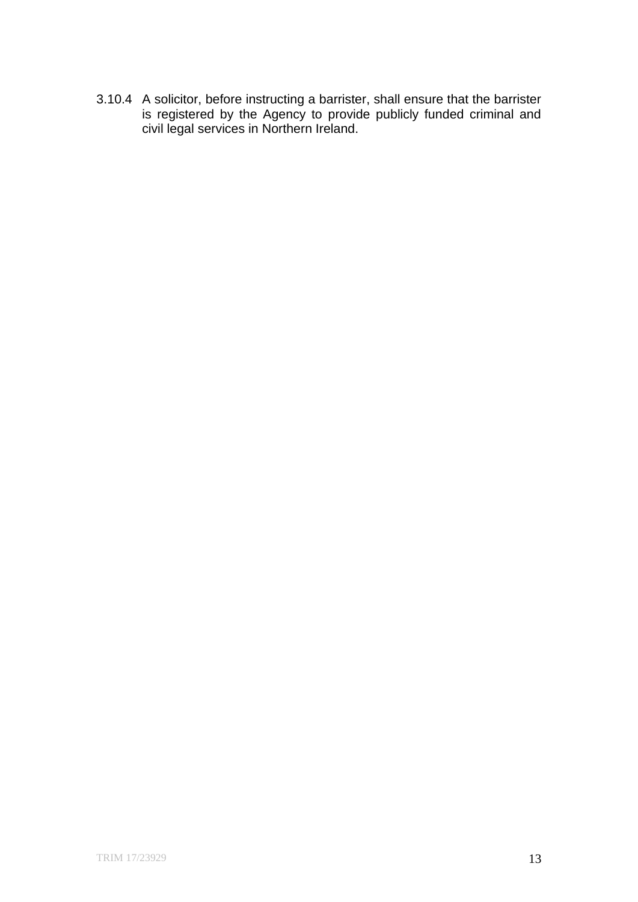3.10.4 A solicitor, before instructing a barrister, shall ensure that the barrister is registered by the Agency to provide publicly funded criminal and civil legal services in Northern Ireland.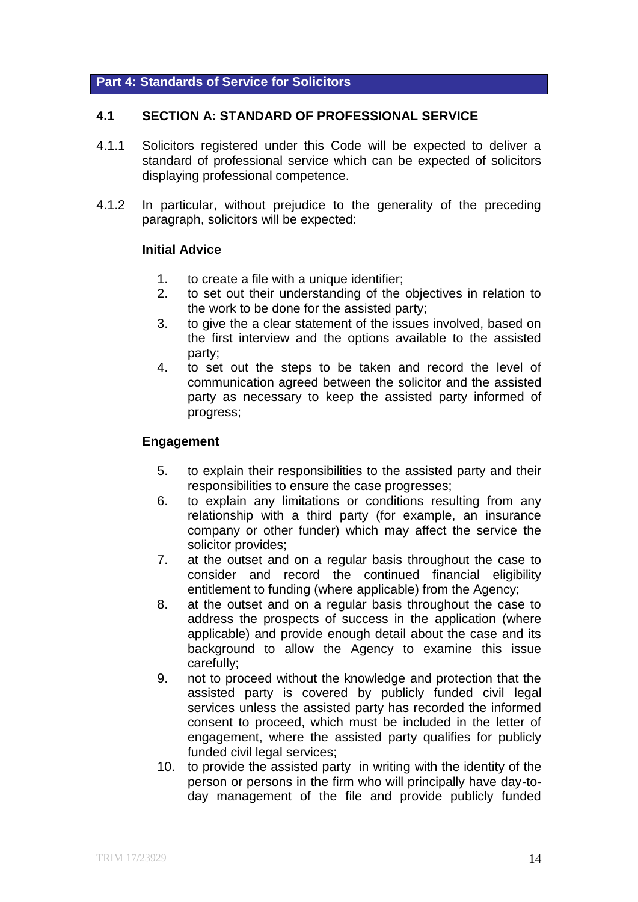#### **Part 4: Standards of Service for Solicitors**

#### **4.1 SECTION A: STANDARD OF PROFESSIONAL SERVICE**

- 4.1.1 Solicitors registered under this Code will be expected to deliver a standard of professional service which can be expected of solicitors displaying professional competence.
- 4.1.2 In particular, without prejudice to the generality of the preceding paragraph, solicitors will be expected:

#### **Initial Advice**

- 1. to create a file with a unique identifier;
- 2. to set out their understanding of the objectives in relation to the work to be done for the assisted party;
- 3. to give the a clear statement of the issues involved, based on the first interview and the options available to the assisted party;
- 4. to set out the steps to be taken and record the level of communication agreed between the solicitor and the assisted party as necessary to keep the assisted party informed of progress;

#### **Engagement**

- 5. to explain their responsibilities to the assisted party and their responsibilities to ensure the case progresses;
- 6. to explain any limitations or conditions resulting from any relationship with a third party (for example, an insurance company or other funder) which may affect the service the solicitor provides;
- 7. at the outset and on a regular basis throughout the case to consider and record the continued financial eligibility entitlement to funding (where applicable) from the Agency;
- 8. at the outset and on a regular basis throughout the case to address the prospects of success in the application (where applicable) and provide enough detail about the case and its background to allow the Agency to examine this issue carefully;
- 9. not to proceed without the knowledge and protection that the assisted party is covered by publicly funded civil legal services unless the assisted party has recorded the informed consent to proceed, which must be included in the letter of engagement, where the assisted party qualifies for publicly funded civil legal services;
- 10. to provide the assisted party in writing with the identity of the person or persons in the firm who will principally have day-today management of the file and provide publicly funded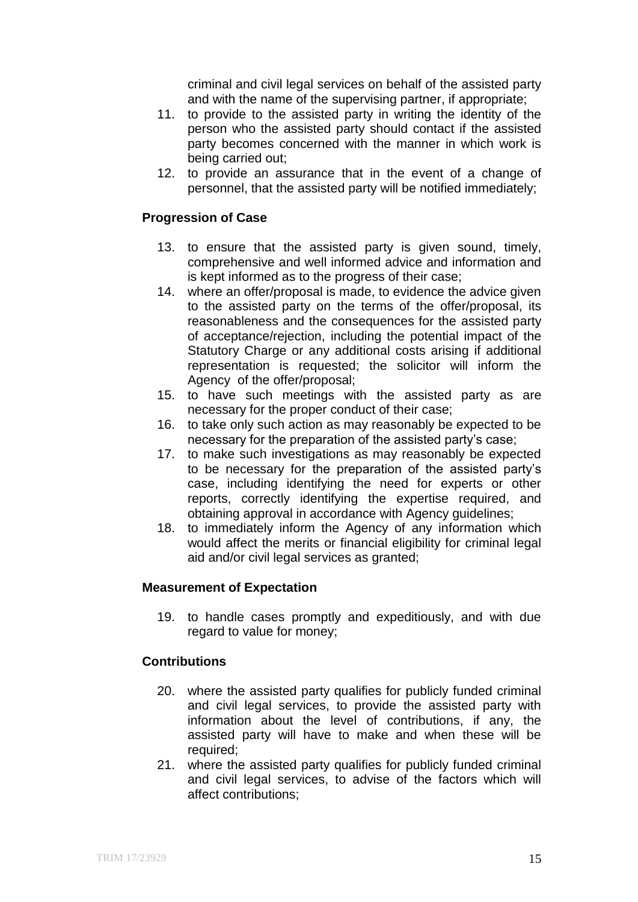criminal and civil legal services on behalf of the assisted party and with the name of the supervising partner, if appropriate;

- 11. to provide to the assisted party in writing the identity of the person who the assisted party should contact if the assisted party becomes concerned with the manner in which work is being carried out;
- 12. to provide an assurance that in the event of a change of personnel, that the assisted party will be notified immediately;

# **Progression of Case**

- 13. to ensure that the assisted party is given sound, timely, comprehensive and well informed advice and information and is kept informed as to the progress of their case;
- 14. where an offer/proposal is made, to evidence the advice given to the assisted party on the terms of the offer/proposal, its reasonableness and the consequences for the assisted party of acceptance/rejection, including the potential impact of the Statutory Charge or any additional costs arising if additional representation is requested; the solicitor will inform the Agency of the offer/proposal;
- 15. to have such meetings with the assisted party as are necessary for the proper conduct of their case;
- 16. to take only such action as may reasonably be expected to be necessary for the preparation of the assisted party's case;
- 17. to make such investigations as may reasonably be expected to be necessary for the preparation of the assisted party's case, including identifying the need for experts or other reports, correctly identifying the expertise required, and obtaining approval in accordance with Agency guidelines;
- 18. to immediately inform the Agency of any information which would affect the merits or financial eligibility for criminal legal aid and/or civil legal services as granted;

# **Measurement of Expectation**

19. to handle cases promptly and expeditiously, and with due regard to value for money;

# **Contributions**

- 20. where the assisted party qualifies for publicly funded criminal and civil legal services, to provide the assisted party with information about the level of contributions, if any, the assisted party will have to make and when these will be required;
- 21. where the assisted party qualifies for publicly funded criminal and civil legal services, to advise of the factors which will affect contributions;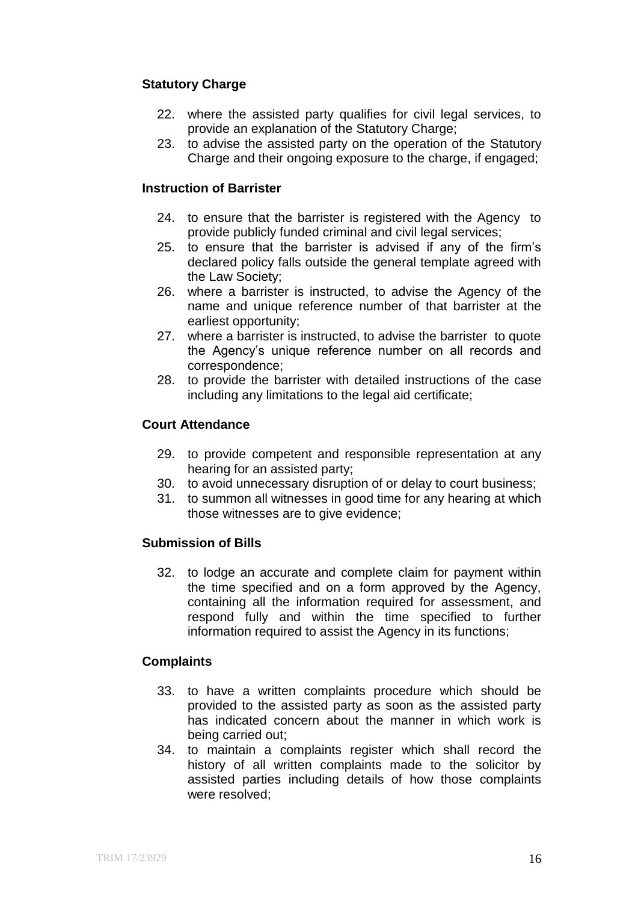# **Statutory Charge**

- 22. where the assisted party qualifies for civil legal services, to provide an explanation of the Statutory Charge;
- 23. to advise the assisted party on the operation of the Statutory Charge and their ongoing exposure to the charge, if engaged;

#### **Instruction of Barrister**

- 24. to ensure that the barrister is registered with the Agency to provide publicly funded criminal and civil legal services;
- 25. to ensure that the barrister is advised if any of the firm's declared policy falls outside the general template agreed with the Law Society;
- 26. where a barrister is instructed, to advise the Agency of the name and unique reference number of that barrister at the earliest opportunity;
- 27. where a barrister is instructed, to advise the barrister to quote the Agency's unique reference number on all records and correspondence;
- 28. to provide the barrister with detailed instructions of the case including any limitations to the legal aid certificate;

#### **Court Attendance**

- 29. to provide competent and responsible representation at any hearing for an assisted party;
- 30. to avoid unnecessary disruption of or delay to court business;
- 31. to summon all witnesses in good time for any hearing at which those witnesses are to give evidence;

# **Submission of Bills**

32. to lodge an accurate and complete claim for payment within the time specified and on a form approved by the Agency, containing all the information required for assessment, and respond fully and within the time specified to further information required to assist the Agency in its functions;

#### **Complaints**

- 33. to have a written complaints procedure which should be provided to the assisted party as soon as the assisted party has indicated concern about the manner in which work is being carried out;
- 34. to maintain a complaints register which shall record the history of all written complaints made to the solicitor by assisted parties including details of how those complaints were resolved;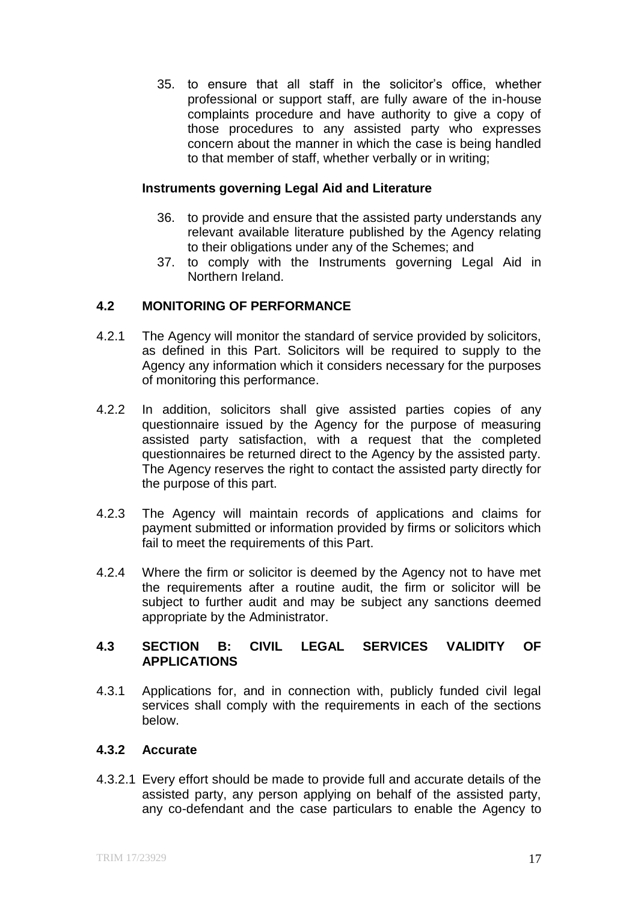35. to ensure that all staff in the solicitor's office, whether professional or support staff, are fully aware of the in-house complaints procedure and have authority to give a copy of those procedures to any assisted party who expresses concern about the manner in which the case is being handled to that member of staff, whether verbally or in writing;

#### **Instruments governing Legal Aid and Literature**

- 36. to provide and ensure that the assisted party understands any relevant available literature published by the Agency relating to their obligations under any of the Schemes; and
- 37. to comply with the Instruments governing Legal Aid in Northern Ireland.

# **4.2 MONITORING OF PERFORMANCE**

- 4.2.1 The Agency will monitor the standard of service provided by solicitors, as defined in this Part. Solicitors will be required to supply to the Agency any information which it considers necessary for the purposes of monitoring this performance.
- 4.2.2 In addition, solicitors shall give assisted parties copies of any questionnaire issued by the Agency for the purpose of measuring assisted party satisfaction, with a request that the completed questionnaires be returned direct to the Agency by the assisted party. The Agency reserves the right to contact the assisted party directly for the purpose of this part.
- 4.2.3 The Agency will maintain records of applications and claims for payment submitted or information provided by firms or solicitors which fail to meet the requirements of this Part.
- 4.2.4 Where the firm or solicitor is deemed by the Agency not to have met the requirements after a routine audit, the firm or solicitor will be subject to further audit and may be subject any sanctions deemed appropriate by the Administrator.

# **4.3 SECTION B: CIVIL LEGAL SERVICES VALIDITY OF APPLICATIONS**

4.3.1 Applications for, and in connection with, publicly funded civil legal services shall comply with the requirements in each of the sections below.

# **4.3.2 Accurate**

4.3.2.1 Every effort should be made to provide full and accurate details of the assisted party, any person applying on behalf of the assisted party, any co-defendant and the case particulars to enable the Agency to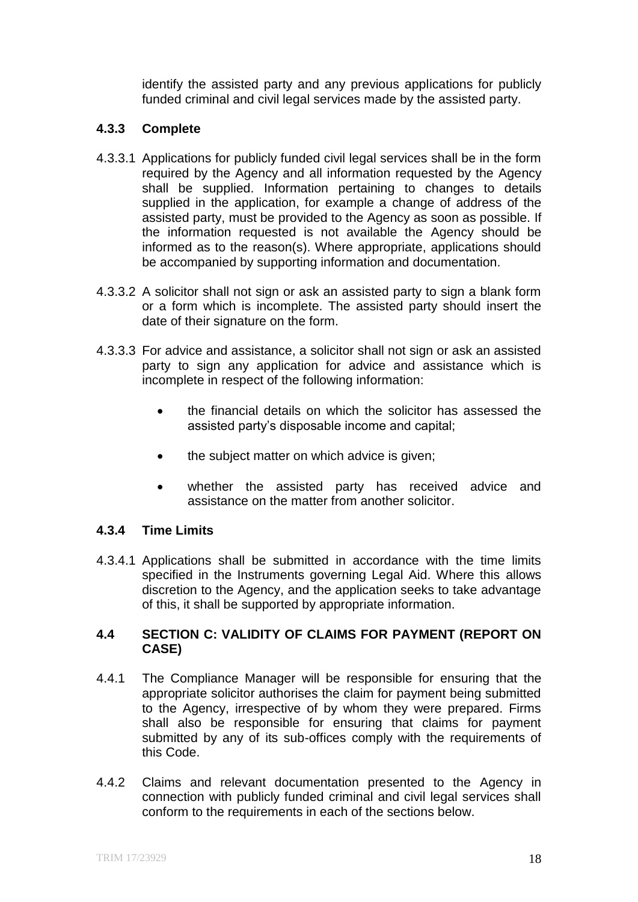identify the assisted party and any previous applications for publicly funded criminal and civil legal services made by the assisted party.

# **4.3.3 Complete**

- 4.3.3.1 Applications for publicly funded civil legal services shall be in the form required by the Agency and all information requested by the Agency shall be supplied. Information pertaining to changes to details supplied in the application, for example a change of address of the assisted party, must be provided to the Agency as soon as possible. If the information requested is not available the Agency should be informed as to the reason(s). Where appropriate, applications should be accompanied by supporting information and documentation.
- 4.3.3.2 A solicitor shall not sign or ask an assisted party to sign a blank form or a form which is incomplete. The assisted party should insert the date of their signature on the form.
- 4.3.3.3 For advice and assistance, a solicitor shall not sign or ask an assisted party to sign any application for advice and assistance which is incomplete in respect of the following information:
	- the financial details on which the solicitor has assessed the assisted party's disposable income and capital;
	- the subject matter on which advice is given;
	- whether the assisted party has received advice and assistance on the matter from another solicitor.

# **4.3.4 Time Limits**

4.3.4.1 Applications shall be submitted in accordance with the time limits specified in the Instruments governing Legal Aid. Where this allows discretion to the Agency, and the application seeks to take advantage of this, it shall be supported by appropriate information.

# **4.4 SECTION C: VALIDITY OF CLAIMS FOR PAYMENT (REPORT ON CASE)**

- 4.4.1 The Compliance Manager will be responsible for ensuring that the appropriate solicitor authorises the claim for payment being submitted to the Agency, irrespective of by whom they were prepared. Firms shall also be responsible for ensuring that claims for payment submitted by any of its sub-offices comply with the requirements of this Code.
- 4.4.2 Claims and relevant documentation presented to the Agency in connection with publicly funded criminal and civil legal services shall conform to the requirements in each of the sections below.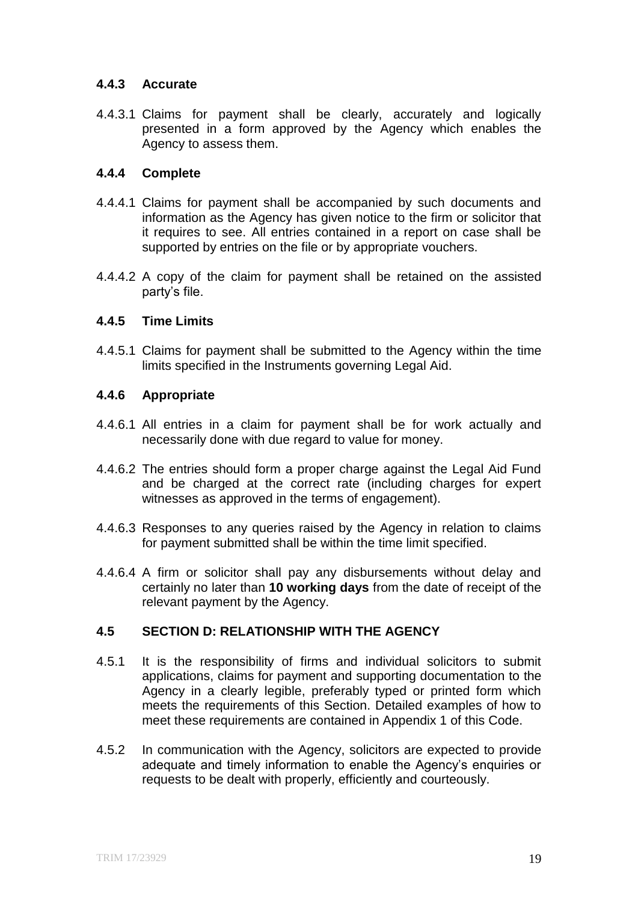# **4.4.3 Accurate**

4.4.3.1 Claims for payment shall be clearly, accurately and logically presented in a form approved by the Agency which enables the Agency to assess them.

# **4.4.4 Complete**

- 4.4.4.1 Claims for payment shall be accompanied by such documents and information as the Agency has given notice to the firm or solicitor that it requires to see. All entries contained in a report on case shall be supported by entries on the file or by appropriate vouchers.
- 4.4.4.2 A copy of the claim for payment shall be retained on the assisted party's file.

# **4.4.5 Time Limits**

4.4.5.1 Claims for payment shall be submitted to the Agency within the time limits specified in the Instruments governing Legal Aid.

# **4.4.6 Appropriate**

- 4.4.6.1 All entries in a claim for payment shall be for work actually and necessarily done with due regard to value for money.
- 4.4.6.2 The entries should form a proper charge against the Legal Aid Fund and be charged at the correct rate (including charges for expert witnesses as approved in the terms of engagement).
- 4.4.6.3 Responses to any queries raised by the Agency in relation to claims for payment submitted shall be within the time limit specified.
- 4.4.6.4 A firm or solicitor shall pay any disbursements without delay and certainly no later than **10 working days** from the date of receipt of the relevant payment by the Agency.

# **4.5 SECTION D: RELATIONSHIP WITH THE AGENCY**

- 4.5.1 It is the responsibility of firms and individual solicitors to submit applications, claims for payment and supporting documentation to the Agency in a clearly legible, preferably typed or printed form which meets the requirements of this Section. Detailed examples of how to meet these requirements are contained in Appendix 1 of this Code.
- 4.5.2 In communication with the Agency, solicitors are expected to provide adequate and timely information to enable the Agency's enquiries or requests to be dealt with properly, efficiently and courteously.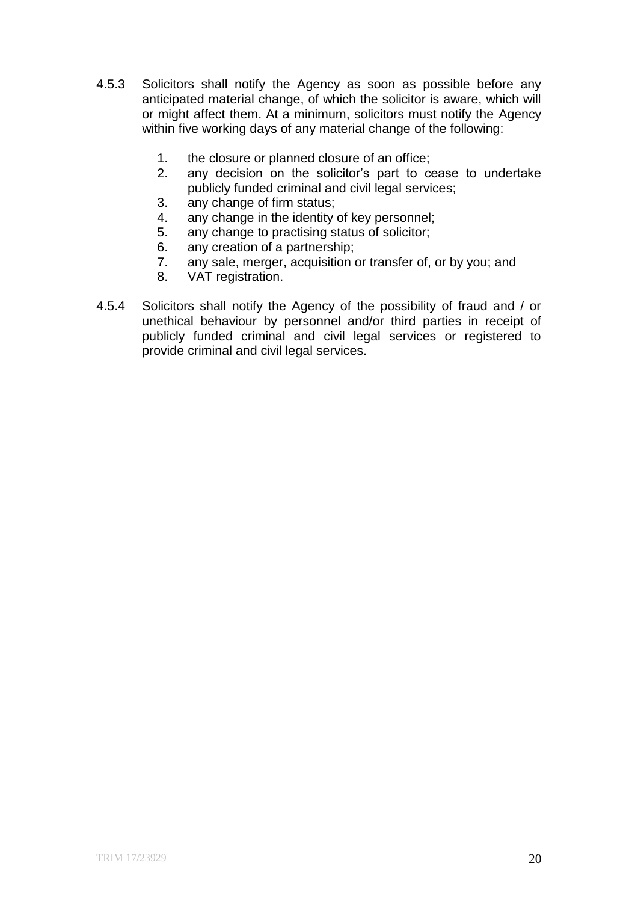- 4.5.3 Solicitors shall notify the Agency as soon as possible before any anticipated material change, of which the solicitor is aware, which will or might affect them. At a minimum, solicitors must notify the Agency within five working days of any material change of the following:
	- 1. the closure or planned closure of an office;
	- 2. any decision on the solicitor's part to cease to undertake publicly funded criminal and civil legal services;
	- 3. any change of firm status;<br>4. any change in the identity
	- any change in the identity of key personnel;
	- 5. any change to practising status of solicitor;
	- 6. any creation of a partnership;
	- 7. any sale, merger, acquisition or transfer of, or by you; and
	- 8. VAT registration.
- 4.5.4 Solicitors shall notify the Agency of the possibility of fraud and / or unethical behaviour by personnel and/or third parties in receipt of publicly funded criminal and civil legal services or registered to provide criminal and civil legal services.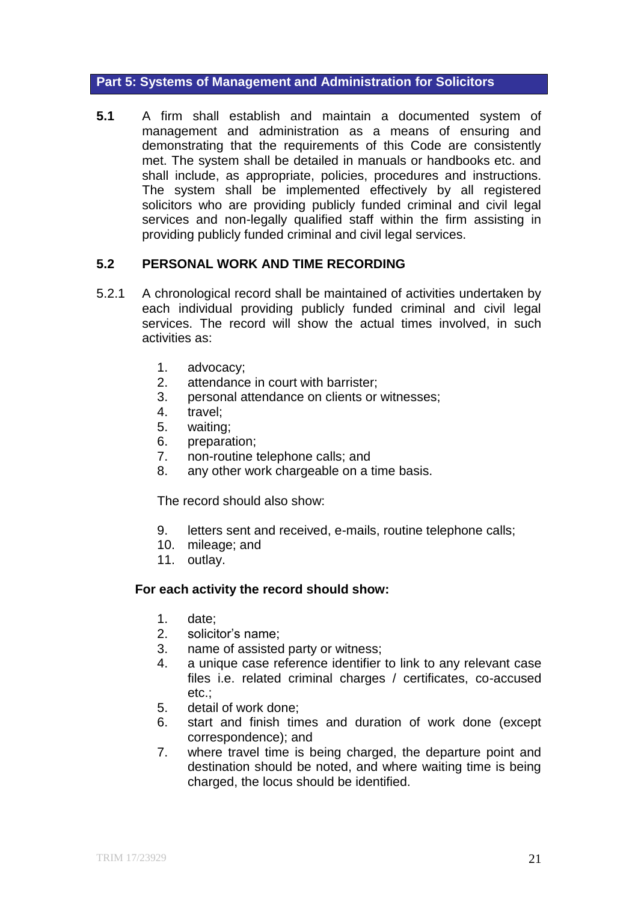#### **Part 5: Systems of Management and Administration for Solicitors**

**5.1** A firm shall establish and maintain a documented system of management and administration as a means of ensuring and demonstrating that the requirements of this Code are consistently met. The system shall be detailed in manuals or handbooks etc. and shall include, as appropriate, policies, procedures and instructions. The system shall be implemented effectively by all registered solicitors who are providing publicly funded criminal and civil legal services and non-legally qualified staff within the firm assisting in providing publicly funded criminal and civil legal services.

# **5.2 PERSONAL WORK AND TIME RECORDING**

- 5.2.1 A chronological record shall be maintained of activities undertaken by each individual providing publicly funded criminal and civil legal services. The record will show the actual times involved, in such activities as:
	- 1. advocacy;
	- 2. attendance in court with barrister;
	- 3. personal attendance on clients or witnesses;
	- 4. travel;
	- 5. waiting;
	- 6. preparation;
	- 7. non-routine telephone calls; and
	- 8. any other work chargeable on a time basis.

The record should also show:

- 9. letters sent and received, e-mails, routine telephone calls;
- 10. mileage; and
- 11. outlay.

# **For each activity the record should show:**

- 1. date;
- 2. solicitor's name;
- 3. name of assisted party or witness;
- 4. a unique case reference identifier to link to any relevant case files i.e. related criminal charges / certificates, co-accused etc.;
- 5. detail of work done;
- 6. start and finish times and duration of work done (except correspondence); and
- 7. where travel time is being charged, the departure point and destination should be noted, and where waiting time is being charged, the locus should be identified.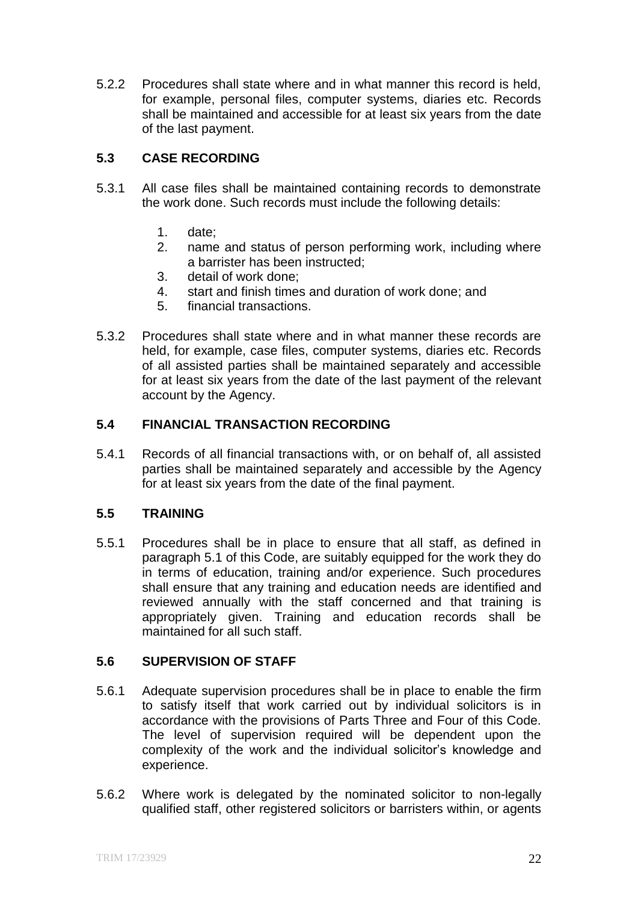5.2.2 Procedures shall state where and in what manner this record is held, for example, personal files, computer systems, diaries etc. Records shall be maintained and accessible for at least six years from the date of the last payment.

# **5.3 CASE RECORDING**

- 5.3.1 All case files shall be maintained containing records to demonstrate the work done. Such records must include the following details:
	- 1. date;
	- 2. name and status of person performing work, including where a barrister has been instructed;
	- 3. detail of work done;
	- 4. start and finish times and duration of work done; and
	- 5. financial transactions.
- 5.3.2 Procedures shall state where and in what manner these records are held, for example, case files, computer systems, diaries etc. Records of all assisted parties shall be maintained separately and accessible for at least six years from the date of the last payment of the relevant account by the Agency.

# **5.4 FINANCIAL TRANSACTION RECORDING**

5.4.1 Records of all financial transactions with, or on behalf of, all assisted parties shall be maintained separately and accessible by the Agency for at least six years from the date of the final payment.

# **5.5 TRAINING**

5.5.1 Procedures shall be in place to ensure that all staff, as defined in paragraph 5.1 of this Code, are suitably equipped for the work they do in terms of education, training and/or experience. Such procedures shall ensure that any training and education needs are identified and reviewed annually with the staff concerned and that training is appropriately given. Training and education records shall be maintained for all such staff.

# **5.6 SUPERVISION OF STAFF**

- 5.6.1 Adequate supervision procedures shall be in place to enable the firm to satisfy itself that work carried out by individual solicitors is in accordance with the provisions of Parts Three and Four of this Code. The level of supervision required will be dependent upon the complexity of the work and the individual solicitor's knowledge and experience.
- 5.6.2 Where work is delegated by the nominated solicitor to non-legally qualified staff, other registered solicitors or barristers within, or agents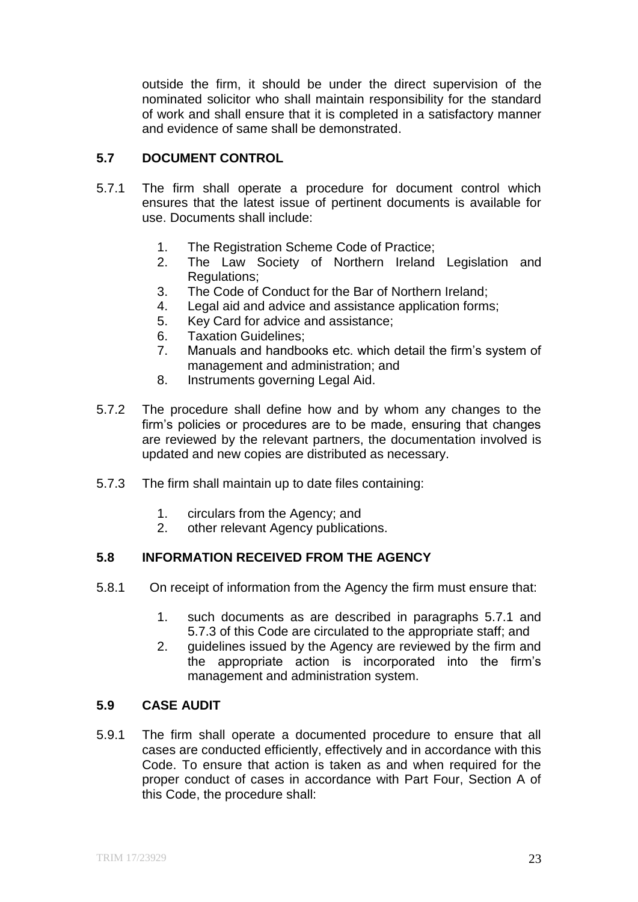outside the firm, it should be under the direct supervision of the nominated solicitor who shall maintain responsibility for the standard of work and shall ensure that it is completed in a satisfactory manner and evidence of same shall be demonstrated.

# **5.7 DOCUMENT CONTROL**

- 5.7.1 The firm shall operate a procedure for document control which ensures that the latest issue of pertinent documents is available for use. Documents shall include:
	- 1. The Registration Scheme Code of Practice;
	- 2. The Law Society of Northern Ireland Legislation and Regulations;
	- 3. The Code of Conduct for the Bar of Northern Ireland;
	- 4. Legal aid and advice and assistance application forms;
	- 5. Key Card for advice and assistance;
	- 6. Taxation Guidelines;
	- 7. Manuals and handbooks etc. which detail the firm's system of management and administration; and
	- 8. Instruments governing Legal Aid.
- 5.7.2 The procedure shall define how and by whom any changes to the firm's policies or procedures are to be made, ensuring that changes are reviewed by the relevant partners, the documentation involved is updated and new copies are distributed as necessary.
- 5.7.3 The firm shall maintain up to date files containing:
	- 1. circulars from the Agency; and
	- 2. other relevant Agency publications.

# **5.8 INFORMATION RECEIVED FROM THE AGENCY**

- 5.8.1 On receipt of information from the Agency the firm must ensure that:
	- 1. such documents as are described in paragraphs 5.7.1 and 5.7.3 of this Code are circulated to the appropriate staff; and
	- 2. guidelines issued by the Agency are reviewed by the firm and the appropriate action is incorporated into the firm's management and administration system.

#### **5.9 CASE AUDIT**

5.9.1 The firm shall operate a documented procedure to ensure that all cases are conducted efficiently, effectively and in accordance with this Code. To ensure that action is taken as and when required for the proper conduct of cases in accordance with Part Four, Section A of this Code, the procedure shall: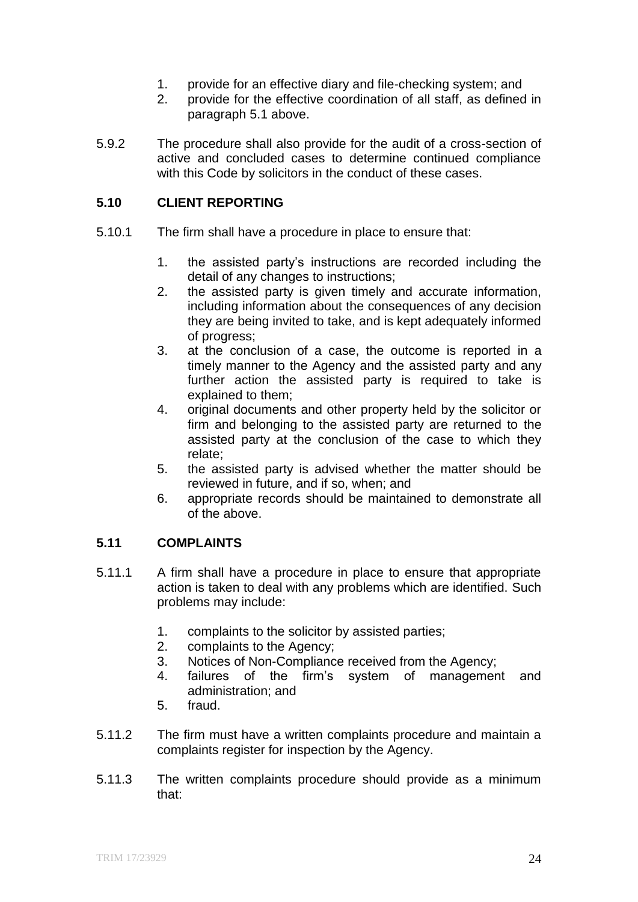- 1. provide for an effective diary and file-checking system; and
- 2. provide for the effective coordination of all staff, as defined in paragraph 5.1 above.
- 5.9.2 The procedure shall also provide for the audit of a cross-section of active and concluded cases to determine continued compliance with this Code by solicitors in the conduct of these cases.

# **5.10 CLIENT REPORTING**

- 5.10.1 The firm shall have a procedure in place to ensure that:
	- 1. the assisted party's instructions are recorded including the detail of any changes to instructions;
	- 2. the assisted party is given timely and accurate information, including information about the consequences of any decision they are being invited to take, and is kept adequately informed of progress;
	- 3. at the conclusion of a case, the outcome is reported in a timely manner to the Agency and the assisted party and any further action the assisted party is required to take is explained to them;
	- 4. original documents and other property held by the solicitor or firm and belonging to the assisted party are returned to the assisted party at the conclusion of the case to which they relate;
	- 5. the assisted party is advised whether the matter should be reviewed in future, and if so, when; and
	- 6. appropriate records should be maintained to demonstrate all of the above.

# **5.11 COMPLAINTS**

- 5.11.1 A firm shall have a procedure in place to ensure that appropriate action is taken to deal with any problems which are identified. Such problems may include:
	- 1. complaints to the solicitor by assisted parties;
	- 2. complaints to the Agency;
	- 3. Notices of Non-Compliance received from the Agency;
	- 4. failures of the firm's system of management and administration; and
	- 5. fraud.
- 5.11.2 The firm must have a written complaints procedure and maintain a complaints register for inspection by the Agency.
- 5.11.3 The written complaints procedure should provide as a minimum that: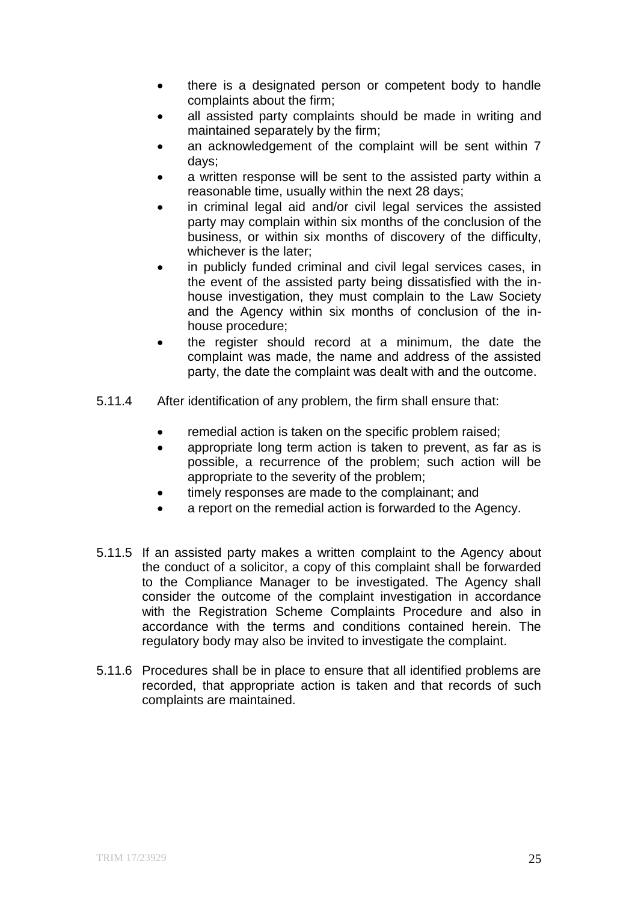- there is a designated person or competent body to handle complaints about the firm;
- all assisted party complaints should be made in writing and maintained separately by the firm;
- an acknowledgement of the complaint will be sent within 7 days;
- a written response will be sent to the assisted party within a reasonable time, usually within the next 28 days;
- in criminal legal aid and/or civil legal services the assisted party may complain within six months of the conclusion of the business, or within six months of discovery of the difficulty, whichever is the later;
- in publicly funded criminal and civil legal services cases, in the event of the assisted party being dissatisfied with the inhouse investigation, they must complain to the Law Society and the Agency within six months of conclusion of the inhouse procedure;
- the register should record at a minimum, the date the complaint was made, the name and address of the assisted party, the date the complaint was dealt with and the outcome.
- 5.11.4 After identification of any problem, the firm shall ensure that:
	- remedial action is taken on the specific problem raised;
	- appropriate long term action is taken to prevent, as far as is possible, a recurrence of the problem; such action will be appropriate to the severity of the problem;
	- timely responses are made to the complainant; and
	- a report on the remedial action is forwarded to the Agency.
- 5.11.5 If an assisted party makes a written complaint to the Agency about the conduct of a solicitor, a copy of this complaint shall be forwarded to the Compliance Manager to be investigated. The Agency shall consider the outcome of the complaint investigation in accordance with the Registration Scheme Complaints Procedure and also in accordance with the terms and conditions contained herein. The regulatory body may also be invited to investigate the complaint.
- 5.11.6 Procedures shall be in place to ensure that all identified problems are recorded, that appropriate action is taken and that records of such complaints are maintained.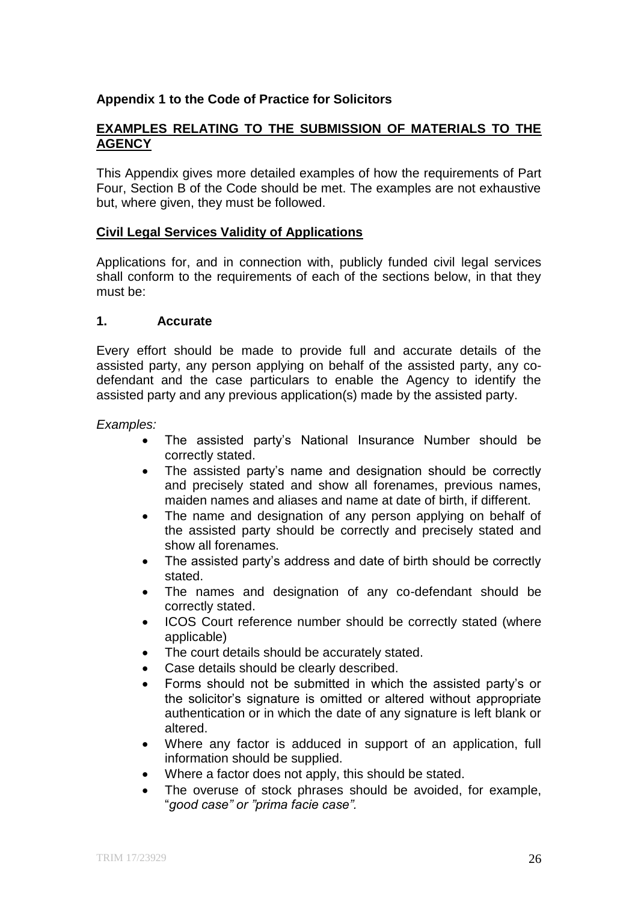# **Appendix 1 to the Code of Practice for Solicitors**

# **EXAMPLES RELATING TO THE SUBMISSION OF MATERIALS TO THE AGENCY**

This Appendix gives more detailed examples of how the requirements of Part Four, Section B of the Code should be met. The examples are not exhaustive but, where given, they must be followed.

#### **Civil Legal Services Validity of Applications**

Applications for, and in connection with, publicly funded civil legal services shall conform to the requirements of each of the sections below, in that they must be:

#### **1. Accurate**

Every effort should be made to provide full and accurate details of the assisted party, any person applying on behalf of the assisted party, any codefendant and the case particulars to enable the Agency to identify the assisted party and any previous application(s) made by the assisted party.

#### *Examples:*

- The assisted party's National Insurance Number should be correctly stated.
- The assisted party's name and designation should be correctly and precisely stated and show all forenames, previous names, maiden names and aliases and name at date of birth, if different.
- The name and designation of any person applying on behalf of the assisted party should be correctly and precisely stated and show all forenames.
- The assisted party's address and date of birth should be correctly stated.
- The names and designation of any co-defendant should be correctly stated.
- ICOS Court reference number should be correctly stated (where applicable)
- The court details should be accurately stated.
- Case details should be clearly described.
- Forms should not be submitted in which the assisted party's or the solicitor's signature is omitted or altered without appropriate authentication or in which the date of any signature is left blank or altered.
- Where any factor is adduced in support of an application, full information should be supplied.
- Where a factor does not apply, this should be stated.
- The overuse of stock phrases should be avoided, for example, "*good case" or "prima facie case".*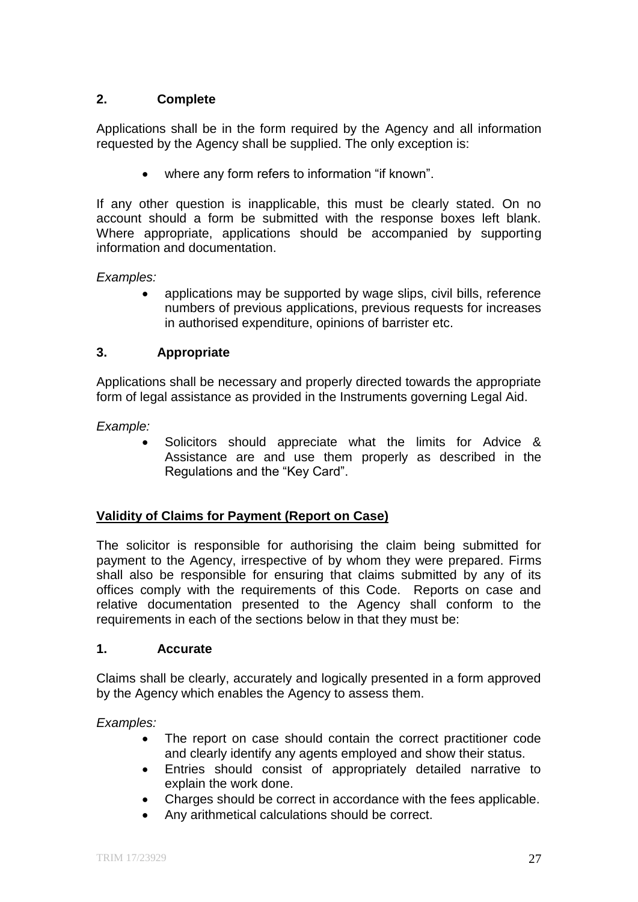# **2. Complete**

Applications shall be in the form required by the Agency and all information requested by the Agency shall be supplied. The only exception is:

where any form refers to information "if known".

If any other question is inapplicable, this must be clearly stated. On no account should a form be submitted with the response boxes left blank. Where appropriate, applications should be accompanied by supporting information and documentation.

*Examples:* 

 applications may be supported by wage slips, civil bills, reference numbers of previous applications, previous requests for increases in authorised expenditure, opinions of barrister etc.

# **3. Appropriate**

Applications shall be necessary and properly directed towards the appropriate form of legal assistance as provided in the Instruments governing Legal Aid.

*Example:* 

 Solicitors should appreciate what the limits for Advice & Assistance are and use them properly as described in the Regulations and the "Key Card".

# **Validity of Claims for Payment (Report on Case)**

The solicitor is responsible for authorising the claim being submitted for payment to the Agency, irrespective of by whom they were prepared. Firms shall also be responsible for ensuring that claims submitted by any of its offices comply with the requirements of this Code. Reports on case and relative documentation presented to the Agency shall conform to the requirements in each of the sections below in that they must be:

# **1. Accurate**

Claims shall be clearly, accurately and logically presented in a form approved by the Agency which enables the Agency to assess them.

*Examples:* 

- The report on case should contain the correct practitioner code and clearly identify any agents employed and show their status.
- Entries should consist of appropriately detailed narrative to explain the work done.
- Charges should be correct in accordance with the fees applicable.
- Any arithmetical calculations should be correct.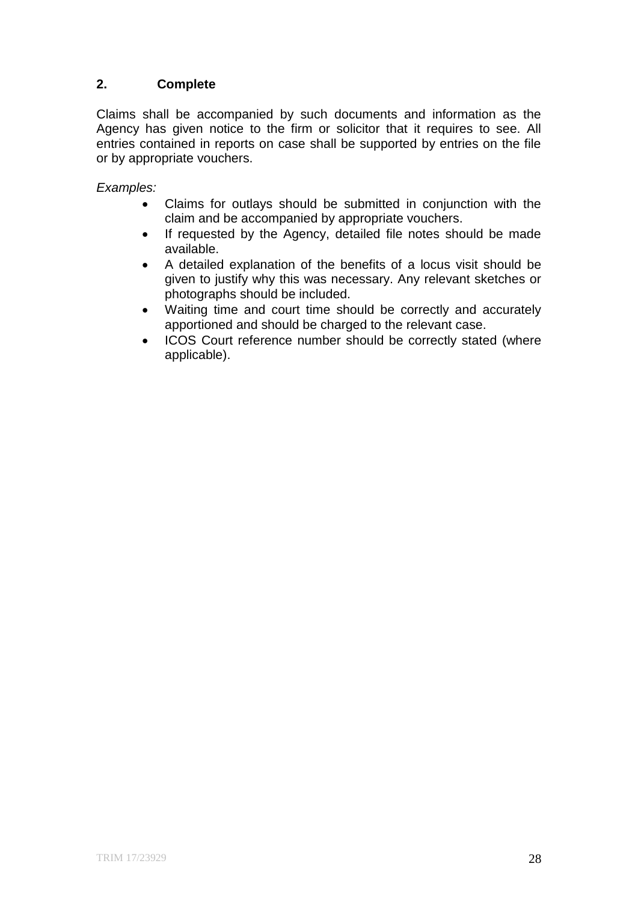# **2. Complete**

Claims shall be accompanied by such documents and information as the Agency has given notice to the firm or solicitor that it requires to see. All entries contained in reports on case shall be supported by entries on the file or by appropriate vouchers.

*Examples:*

- Claims for outlays should be submitted in conjunction with the claim and be accompanied by appropriate vouchers.
- If requested by the Agency, detailed file notes should be made available.
- A detailed explanation of the benefits of a locus visit should be given to justify why this was necessary. Any relevant sketches or photographs should be included.
- Waiting time and court time should be correctly and accurately apportioned and should be charged to the relevant case.
- ICOS Court reference number should be correctly stated (where applicable).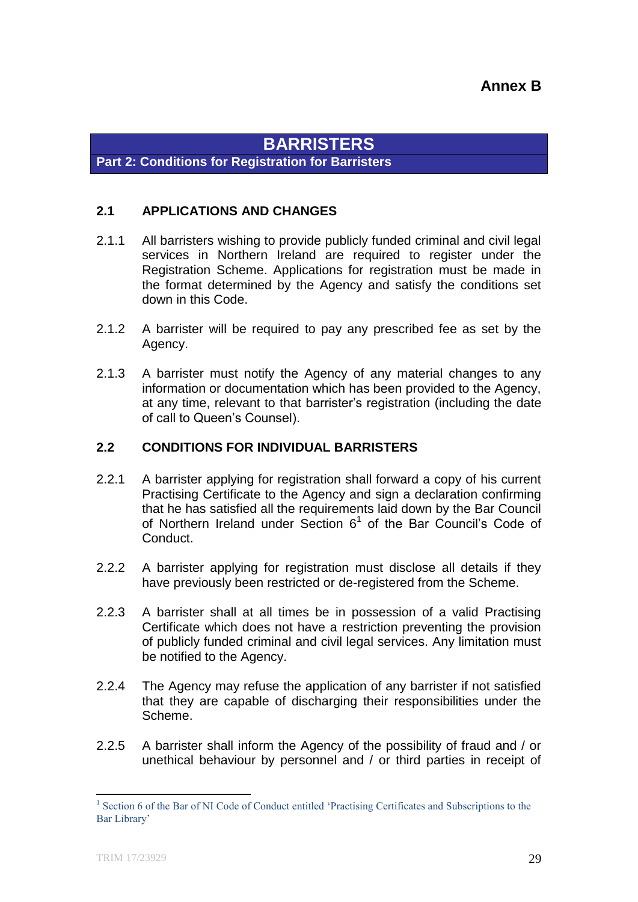# **BARRISTERS**

**Part 2: Conditions for Registration for Barristers**

# **2.1 APPLICATIONS AND CHANGES**

- 2.1.1 All barristers wishing to provide publicly funded criminal and civil legal services in Northern Ireland are required to register under the Registration Scheme. Applications for registration must be made in the format determined by the Agency and satisfy the conditions set down in this Code.
- 2.1.2 A barrister will be required to pay any prescribed fee as set by the Agency.
- 2.1.3 A barrister must notify the Agency of any material changes to any information or documentation which has been provided to the Agency, at any time, relevant to that barrister's registration (including the date of call to Queen's Counsel).

# **2.2 CONDITIONS FOR INDIVIDUAL BARRISTERS**

- 2.2.1 A barrister applying for registration shall forward a copy of his current Practising Certificate to the Agency and sign a declaration confirming that he has satisfied all the requirements laid down by the Bar Council of Northern Ireland under Section  $6<sup>1</sup>$  of the Bar Council's Code of Conduct.
- 2.2.2 A barrister applying for registration must disclose all details if they have previously been restricted or de-registered from the Scheme.
- 2.2.3 A barrister shall at all times be in possession of a valid Practising Certificate which does not have a restriction preventing the provision of publicly funded criminal and civil legal services. Any limitation must be notified to the Agency.
- 2.2.4 The Agency may refuse the application of any barrister if not satisfied that they are capable of discharging their responsibilities under the Scheme.
- 2.2.5 A barrister shall inform the Agency of the possibility of fraud and / or unethical behaviour by personnel and / or third parties in receipt of

**.** 

<sup>&</sup>lt;sup>1</sup> Section 6 of the Bar of NI Code of Conduct entitled 'Practising Certificates and Subscriptions to the Bar Library'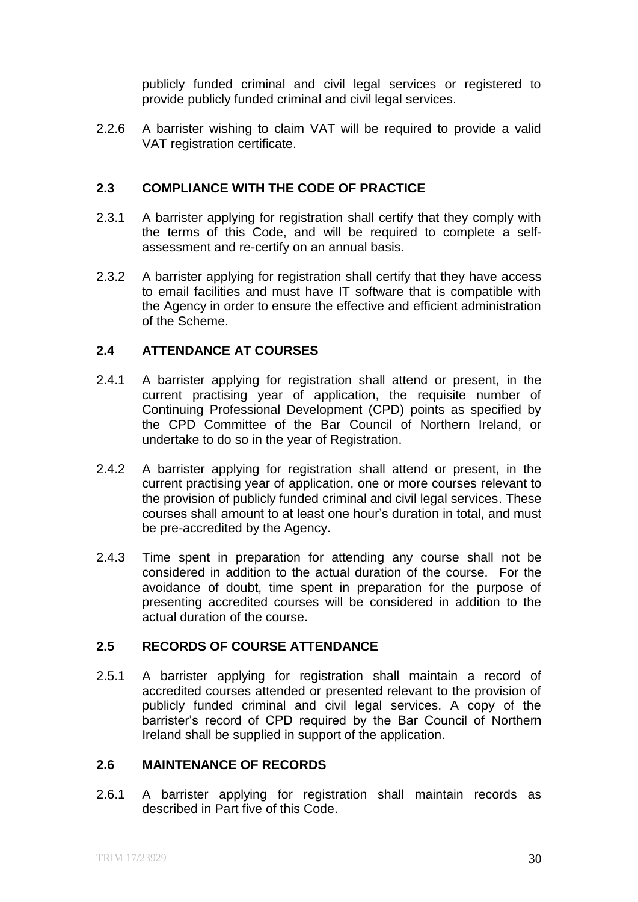publicly funded criminal and civil legal services or registered to provide publicly funded criminal and civil legal services.

2.2.6 A barrister wishing to claim VAT will be required to provide a valid VAT registration certificate.

# **2.3 COMPLIANCE WITH THE CODE OF PRACTICE**

- 2.3.1 A barrister applying for registration shall certify that they comply with the terms of this Code, and will be required to complete a selfassessment and re-certify on an annual basis.
- 2.3.2 A barrister applying for registration shall certify that they have access to email facilities and must have IT software that is compatible with the Agency in order to ensure the effective and efficient administration of the Scheme.

# **2.4 ATTENDANCE AT COURSES**

- 2.4.1 A barrister applying for registration shall attend or present, in the current practising year of application, the requisite number of Continuing Professional Development (CPD) points as specified by the CPD Committee of the Bar Council of Northern Ireland, or undertake to do so in the year of Registration.
- 2.4.2 A barrister applying for registration shall attend or present, in the current practising year of application, one or more courses relevant to the provision of publicly funded criminal and civil legal services. These courses shall amount to at least one hour's duration in total, and must be pre-accredited by the Agency.
- 2.4.3 Time spent in preparation for attending any course shall not be considered in addition to the actual duration of the course. For the avoidance of doubt, time spent in preparation for the purpose of presenting accredited courses will be considered in addition to the actual duration of the course.

# **2.5 RECORDS OF COURSE ATTENDANCE**

2.5.1 A barrister applying for registration shall maintain a record of accredited courses attended or presented relevant to the provision of publicly funded criminal and civil legal services. A copy of the barrister's record of CPD required by the Bar Council of Northern Ireland shall be supplied in support of the application.

# **2.6 MAINTENANCE OF RECORDS**

2.6.1 A barrister applying for registration shall maintain records as described in Part five of this Code.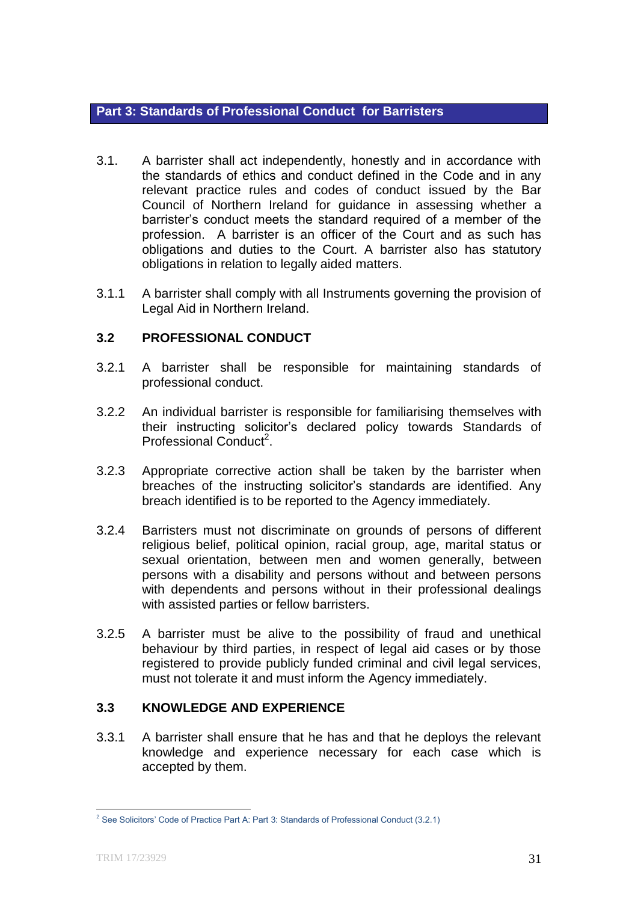#### **Part 3: Standards of Professional Conduct for Barristers**

- 3.1. A barrister shall act independently, honestly and in accordance with the standards of ethics and conduct defined in the Code and in any relevant practice rules and codes of conduct issued by the Bar Council of Northern Ireland for guidance in assessing whether a barrister's conduct meets the standard required of a member of the profession. A barrister is an officer of the Court and as such has obligations and duties to the Court. A barrister also has statutory obligations in relation to legally aided matters.
- 3.1.1 A barrister shall comply with all Instruments governing the provision of Legal Aid in Northern Ireland.

# **3.2 PROFESSIONAL CONDUCT**

- 3.2.1 A barrister shall be responsible for maintaining standards of professional conduct.
- 3.2.2 An individual barrister is responsible for familiarising themselves with their instructing solicitor's declared policy towards Standards of Professional Conduct<sup>2</sup>.
- 3.2.3 Appropriate corrective action shall be taken by the barrister when breaches of the instructing solicitor's standards are identified. Any breach identified is to be reported to the Agency immediately.
- 3.2.4 Barristers must not discriminate on grounds of persons of different religious belief, political opinion, racial group, age, marital status or sexual orientation, between men and women generally, between persons with a disability and persons without and between persons with dependents and persons without in their professional dealings with assisted parties or fellow barristers.
- 3.2.5 A barrister must be alive to the possibility of fraud and unethical behaviour by third parties, in respect of legal aid cases or by those registered to provide publicly funded criminal and civil legal services, must not tolerate it and must inform the Agency immediately.

# **3.3 KNOWLEDGE AND EXPERIENCE**

3.3.1 A barrister shall ensure that he has and that he deploys the relevant knowledge and experience necessary for each case which is accepted by them.

**.** 

<sup>&</sup>lt;sup>2</sup> See Solicitors' Code of Practice Part A: Part 3: Standards of Professional Conduct (3.2.1)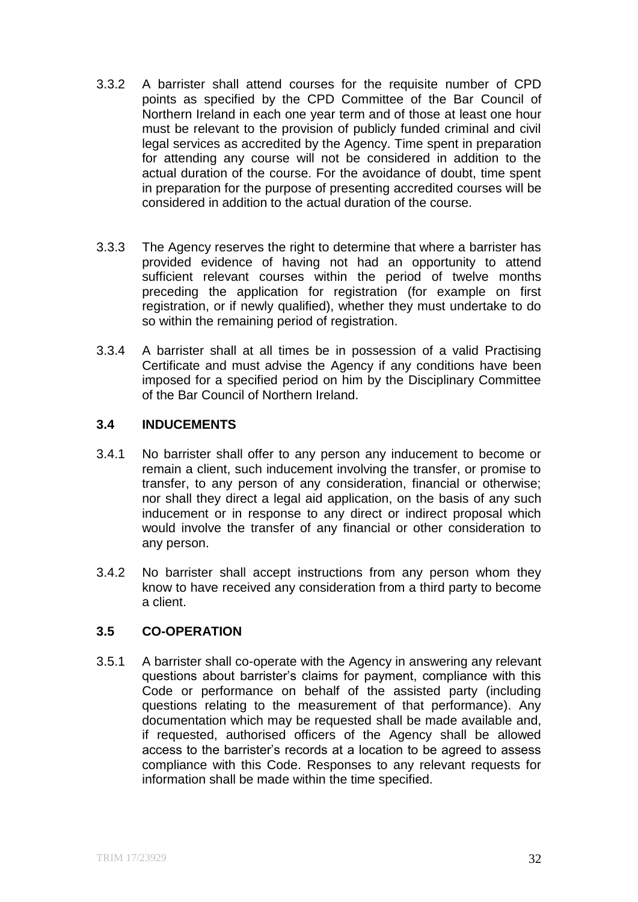- 3.3.2 A barrister shall attend courses for the requisite number of CPD points as specified by the CPD Committee of the Bar Council of Northern Ireland in each one year term and of those at least one hour must be relevant to the provision of publicly funded criminal and civil legal services as accredited by the Agency. Time spent in preparation for attending any course will not be considered in addition to the actual duration of the course. For the avoidance of doubt, time spent in preparation for the purpose of presenting accredited courses will be considered in addition to the actual duration of the course.
- 3.3.3 The Agency reserves the right to determine that where a barrister has provided evidence of having not had an opportunity to attend sufficient relevant courses within the period of twelve months preceding the application for registration (for example on first registration, or if newly qualified), whether they must undertake to do so within the remaining period of registration.
- 3.3.4 A barrister shall at all times be in possession of a valid Practising Certificate and must advise the Agency if any conditions have been imposed for a specified period on him by the Disciplinary Committee of the Bar Council of Northern Ireland.

# **3.4 INDUCEMENTS**

- 3.4.1 No barrister shall offer to any person any inducement to become or remain a client, such inducement involving the transfer, or promise to transfer, to any person of any consideration, financial or otherwise; nor shall they direct a legal aid application, on the basis of any such inducement or in response to any direct or indirect proposal which would involve the transfer of any financial or other consideration to any person.
- 3.4.2 No barrister shall accept instructions from any person whom they know to have received any consideration from a third party to become a client.

# **3.5 CO-OPERATION**

3.5.1 A barrister shall co-operate with the Agency in answering any relevant questions about barrister's claims for payment, compliance with this Code or performance on behalf of the assisted party (including questions relating to the measurement of that performance). Any documentation which may be requested shall be made available and, if requested, authorised officers of the Agency shall be allowed access to the barrister's records at a location to be agreed to assess compliance with this Code. Responses to any relevant requests for information shall be made within the time specified.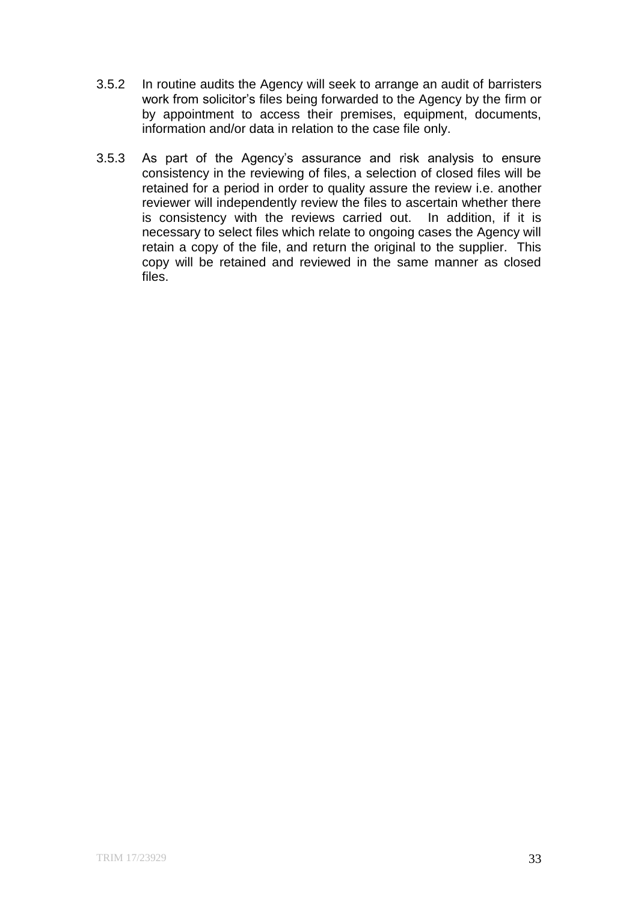- 3.5.2 In routine audits the Agency will seek to arrange an audit of barristers work from solicitor's files being forwarded to the Agency by the firm or by appointment to access their premises, equipment, documents, information and/or data in relation to the case file only.
- 3.5.3 As part of the Agency's assurance and risk analysis to ensure consistency in the reviewing of files, a selection of closed files will be retained for a period in order to quality assure the review i.e. another reviewer will independently review the files to ascertain whether there is consistency with the reviews carried out. In addition, if it is necessary to select files which relate to ongoing cases the Agency will retain a copy of the file, and return the original to the supplier. This copy will be retained and reviewed in the same manner as closed files.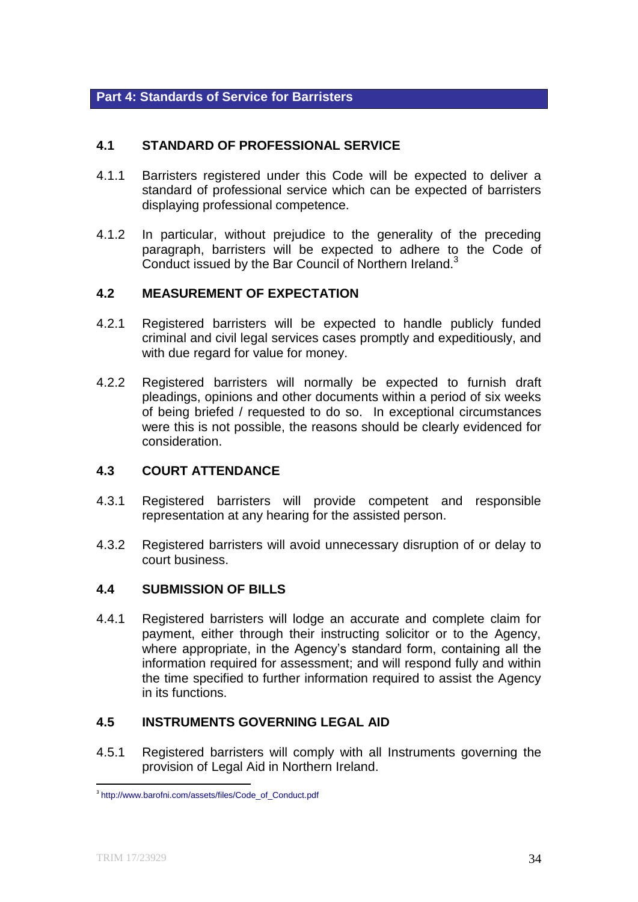# **Part 4: Standards of Service for Barristers**

# **4.1 STANDARD OF PROFESSIONAL SERVICE**

- 4.1.1 Barristers registered under this Code will be expected to deliver a standard of professional service which can be expected of barristers displaying professional competence.
- 4.1.2 In particular, without prejudice to the generality of the preceding paragraph, barristers will be expected to adhere to the Code of Conduct issued by the Bar Council of Northern Ireland.<sup>3</sup>

# **4.2 MEASUREMENT OF EXPECTATION**

- 4.2.1 Registered barristers will be expected to handle publicly funded criminal and civil legal services cases promptly and expeditiously, and with due regard for value for money.
- 4.2.2 Registered barristers will normally be expected to furnish draft pleadings, opinions and other documents within a period of six weeks of being briefed / requested to do so. In exceptional circumstances were this is not possible, the reasons should be clearly evidenced for consideration.

# **4.3 COURT ATTENDANCE**

- 4.3.1 Registered barristers will provide competent and responsible representation at any hearing for the assisted person.
- 4.3.2 Registered barristers will avoid unnecessary disruption of or delay to court business.

# **4.4 SUBMISSION OF BILLS**

4.4.1 Registered barristers will lodge an accurate and complete claim for payment, either through their instructing solicitor or to the Agency, where appropriate, in the Agency's standard form, containing all the information required for assessment; and will respond fully and within the time specified to further information required to assist the Agency in its functions.

#### **4.5 INSTRUMENTS GOVERNING LEGAL AID**

4.5.1 Registered barristers will comply with all Instruments governing the provision of Legal Aid in Northern Ireland.

1

<sup>3</sup> http://www.barofni.com/assets/files/Code\_of\_Conduct.pdf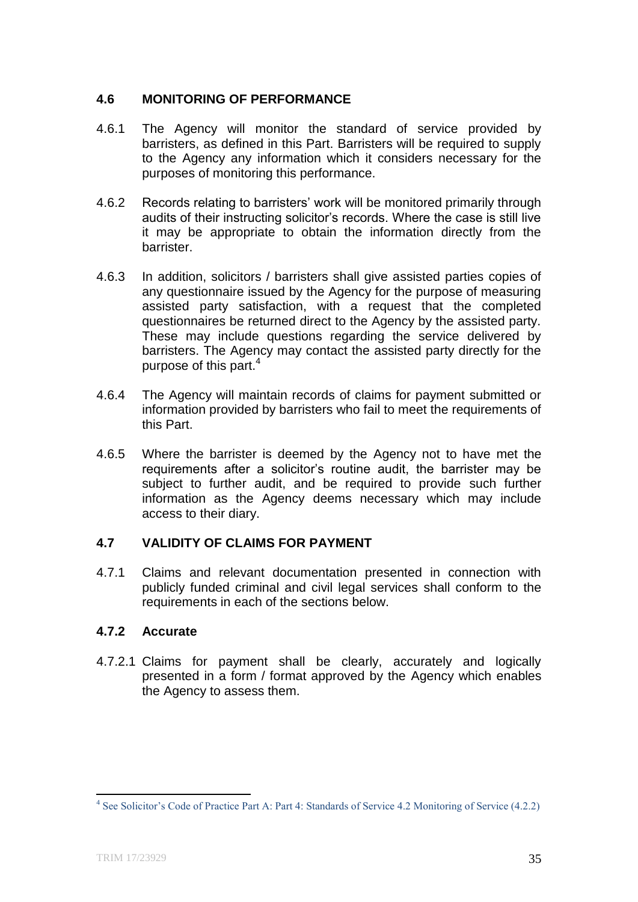# **4.6 MONITORING OF PERFORMANCE**

- 4.6.1 The Agency will monitor the standard of service provided by barristers, as defined in this Part. Barristers will be required to supply to the Agency any information which it considers necessary for the purposes of monitoring this performance.
- 4.6.2 Records relating to barristers' work will be monitored primarily through audits of their instructing solicitor's records. Where the case is still live it may be appropriate to obtain the information directly from the barrister.
- 4.6.3 In addition, solicitors / barristers shall give assisted parties copies of any questionnaire issued by the Agency for the purpose of measuring assisted party satisfaction, with a request that the completed questionnaires be returned direct to the Agency by the assisted party. These may include questions regarding the service delivered by barristers. The Agency may contact the assisted party directly for the purpose of this part.<sup>4</sup>
- 4.6.4 The Agency will maintain records of claims for payment submitted or information provided by barristers who fail to meet the requirements of this Part.
- 4.6.5 Where the barrister is deemed by the Agency not to have met the requirements after a solicitor's routine audit, the barrister may be subject to further audit, and be required to provide such further information as the Agency deems necessary which may include access to their diary.

# **4.7 VALIDITY OF CLAIMS FOR PAYMENT**

4.7.1 Claims and relevant documentation presented in connection with publicly funded criminal and civil legal services shall conform to the requirements in each of the sections below.

# **4.7.2 Accurate**

4.7.2.1 Claims for payment shall be clearly, accurately and logically presented in a form / format approved by the Agency which enables the Agency to assess them.

 4 See Solicitor's Code of Practice Part A: Part 4: Standards of Service 4.2 Monitoring of Service (4.2.2)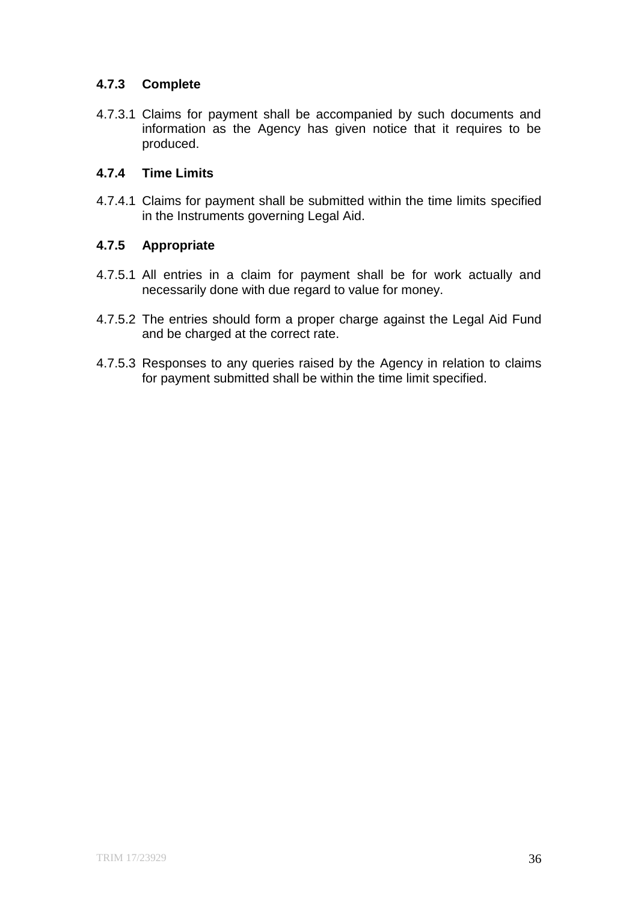# **4.7.3 Complete**

4.7.3.1 Claims for payment shall be accompanied by such documents and information as the Agency has given notice that it requires to be produced.

#### **4.7.4 Time Limits**

4.7.4.1 Claims for payment shall be submitted within the time limits specified in the Instruments governing Legal Aid.

# **4.7.5 Appropriate**

- 4.7.5.1 All entries in a claim for payment shall be for work actually and necessarily done with due regard to value for money.
- 4.7.5.2 The entries should form a proper charge against the Legal Aid Fund and be charged at the correct rate.
- 4.7.5.3 Responses to any queries raised by the Agency in relation to claims for payment submitted shall be within the time limit specified.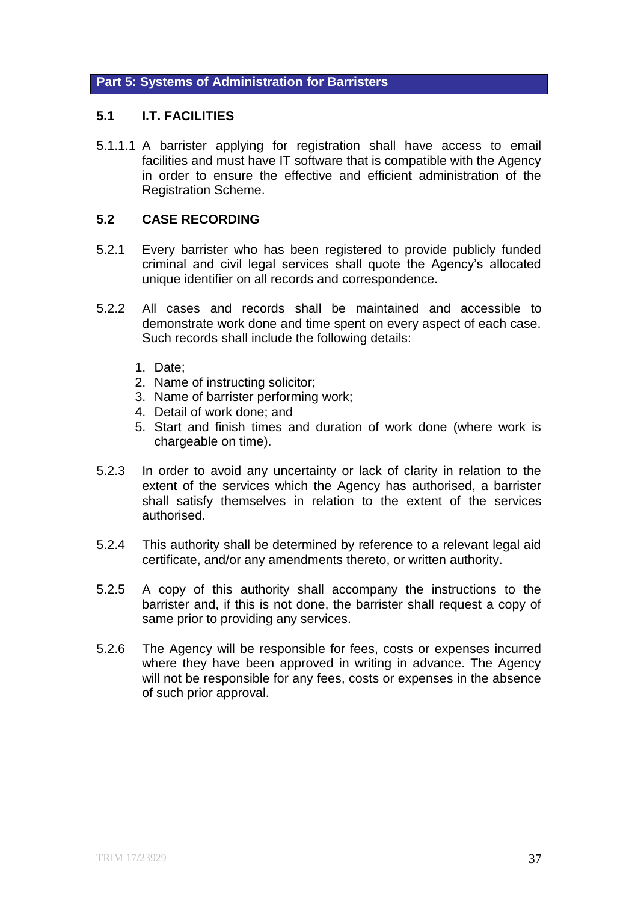# **Part 5: Systems of Administration for Barristers**

#### **5.1 I.T. FACILITIES**

5.1.1.1 A barrister applying for registration shall have access to email facilities and must have IT software that is compatible with the Agency in order to ensure the effective and efficient administration of the Registration Scheme.

#### **5.2 CASE RECORDING**

- 5.2.1 Every barrister who has been registered to provide publicly funded criminal and civil legal services shall quote the Agency's allocated unique identifier on all records and correspondence.
- 5.2.2 All cases and records shall be maintained and accessible to demonstrate work done and time spent on every aspect of each case. Such records shall include the following details:
	- 1. Date;
	- 2. Name of instructing solicitor;
	- 3. Name of barrister performing work;
	- 4. Detail of work done; and
	- 5. Start and finish times and duration of work done (where work is chargeable on time).
- 5.2.3 In order to avoid any uncertainty or lack of clarity in relation to the extent of the services which the Agency has authorised, a barrister shall satisfy themselves in relation to the extent of the services authorised.
- 5.2.4 This authority shall be determined by reference to a relevant legal aid certificate, and/or any amendments thereto, or written authority.
- 5.2.5 A copy of this authority shall accompany the instructions to the barrister and, if this is not done, the barrister shall request a copy of same prior to providing any services.
- 5.2.6 The Agency will be responsible for fees, costs or expenses incurred where they have been approved in writing in advance. The Agency will not be responsible for any fees, costs or expenses in the absence of such prior approval.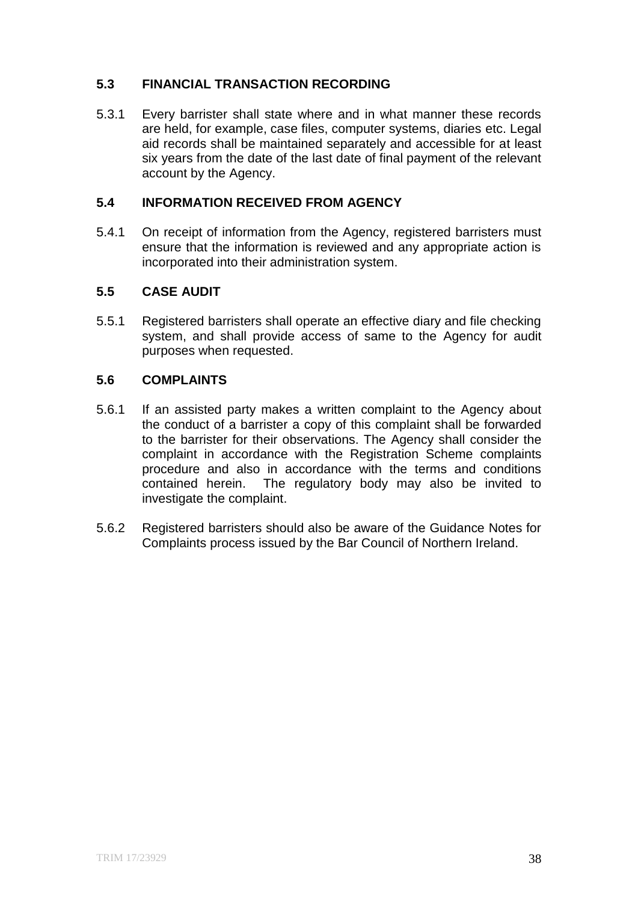# **5.3 FINANCIAL TRANSACTION RECORDING**

5.3.1 Every barrister shall state where and in what manner these records are held, for example, case files, computer systems, diaries etc. Legal aid records shall be maintained separately and accessible for at least six years from the date of the last date of final payment of the relevant account by the Agency.

# **5.4 INFORMATION RECEIVED FROM AGENCY**

5.4.1 On receipt of information from the Agency, registered barristers must ensure that the information is reviewed and any appropriate action is incorporated into their administration system.

# **5.5 CASE AUDIT**

5.5.1 Registered barristers shall operate an effective diary and file checking system, and shall provide access of same to the Agency for audit purposes when requested.

# **5.6 COMPLAINTS**

- 5.6.1 If an assisted party makes a written complaint to the Agency about the conduct of a barrister a copy of this complaint shall be forwarded to the barrister for their observations. The Agency shall consider the complaint in accordance with the Registration Scheme complaints procedure and also in accordance with the terms and conditions contained herein. The regulatory body may also be invited to investigate the complaint.
- 5.6.2 Registered barristers should also be aware of the Guidance Notes for Complaints process issued by the Bar Council of Northern Ireland.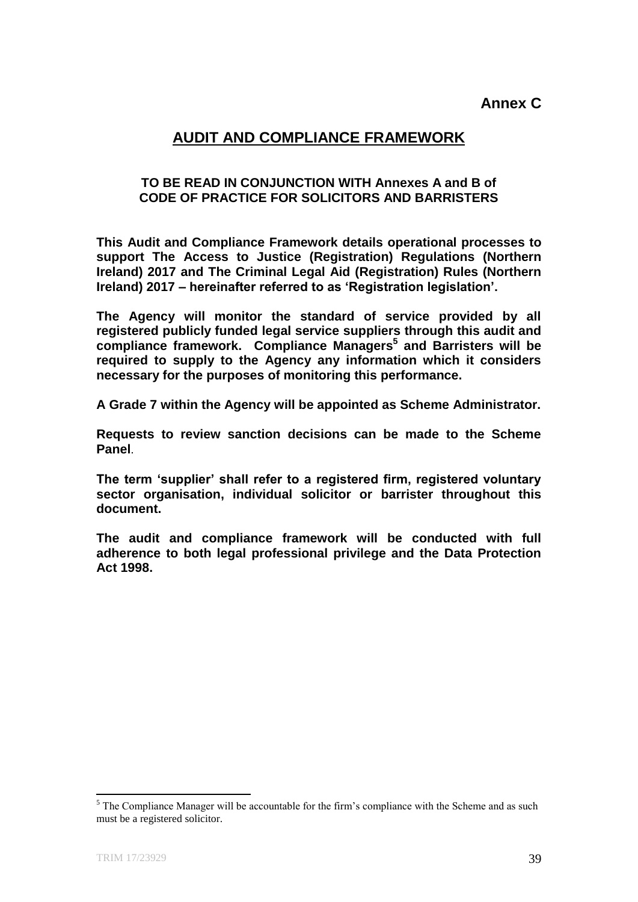# **AUDIT AND COMPLIANCE FRAMEWORK**

#### **TO BE READ IN CONJUNCTION WITH Annexes A and B of CODE OF PRACTICE FOR SOLICITORS AND BARRISTERS**

**This Audit and Compliance Framework details operational processes to support The Access to Justice (Registration) Regulations (Northern Ireland) 2017 and The Criminal Legal Aid (Registration) Rules (Northern Ireland) 2017 – hereinafter referred to as 'Registration legislation'.**

**The Agency will monitor the standard of service provided by all registered publicly funded legal service suppliers through this audit and compliance framework. Compliance Managers<sup>5</sup> and Barristers will be required to supply to the Agency any information which it considers necessary for the purposes of monitoring this performance.** 

**A Grade 7 within the Agency will be appointed as Scheme Administrator.** 

**Requests to review sanction decisions can be made to the Scheme Panel**.

**The term 'supplier' shall refer to a registered firm, registered voluntary sector organisation, individual solicitor or barrister throughout this document.**

**The audit and compliance framework will be conducted with full adherence to both legal professional privilege and the Data Protection Act 1998.**

**.** 

 $<sup>5</sup>$  The Compliance Manager will be accountable for the firm's compliance with the Scheme and as such</sup> must be a registered solicitor.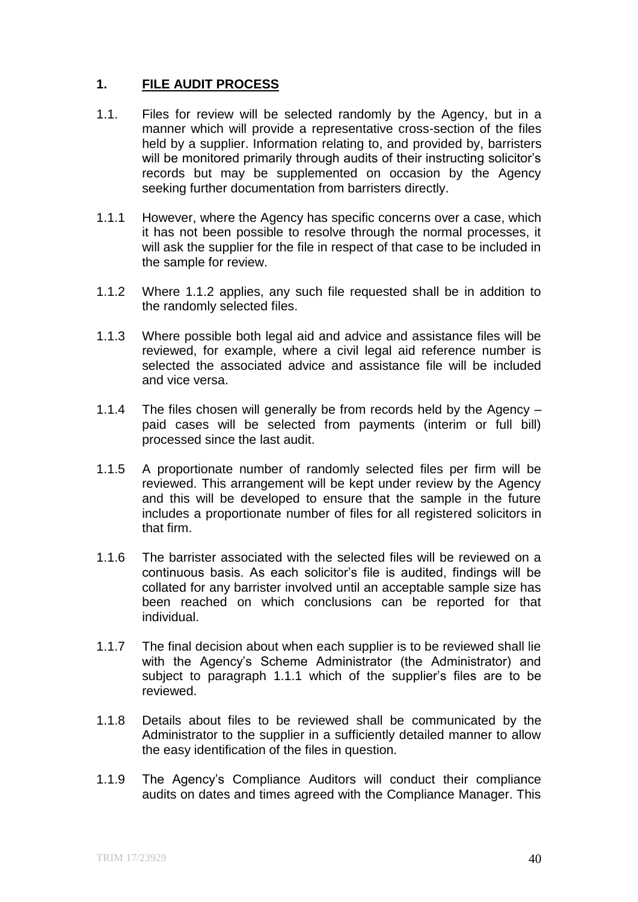# **1. FILE AUDIT PROCESS**

- 1.1. Files for review will be selected randomly by the Agency, but in a manner which will provide a representative cross-section of the files held by a supplier. Information relating to, and provided by, barristers will be monitored primarily through audits of their instructing solicitor's records but may be supplemented on occasion by the Agency seeking further documentation from barristers directly.
- 1.1.1 However, where the Agency has specific concerns over a case, which it has not been possible to resolve through the normal processes, it will ask the supplier for the file in respect of that case to be included in the sample for review.
- 1.1.2 Where 1.1.2 applies, any such file requested shall be in addition to the randomly selected files.
- 1.1.3 Where possible both legal aid and advice and assistance files will be reviewed, for example, where a civil legal aid reference number is selected the associated advice and assistance file will be included and vice versa.
- 1.1.4 The files chosen will generally be from records held by the Agency paid cases will be selected from payments (interim or full bill) processed since the last audit.
- 1.1.5 A proportionate number of randomly selected files per firm will be reviewed. This arrangement will be kept under review by the Agency and this will be developed to ensure that the sample in the future includes a proportionate number of files for all registered solicitors in that firm.
- 1.1.6 The barrister associated with the selected files will be reviewed on a continuous basis. As each solicitor's file is audited, findings will be collated for any barrister involved until an acceptable sample size has been reached on which conclusions can be reported for that individual.
- 1.1.7 The final decision about when each supplier is to be reviewed shall lie with the Agency's Scheme Administrator (the Administrator) and subject to paragraph 1.1.1 which of the supplier's files are to be reviewed.
- 1.1.8 Details about files to be reviewed shall be communicated by the Administrator to the supplier in a sufficiently detailed manner to allow the easy identification of the files in question.
- 1.1.9 The Agency's Compliance Auditors will conduct their compliance audits on dates and times agreed with the Compliance Manager. This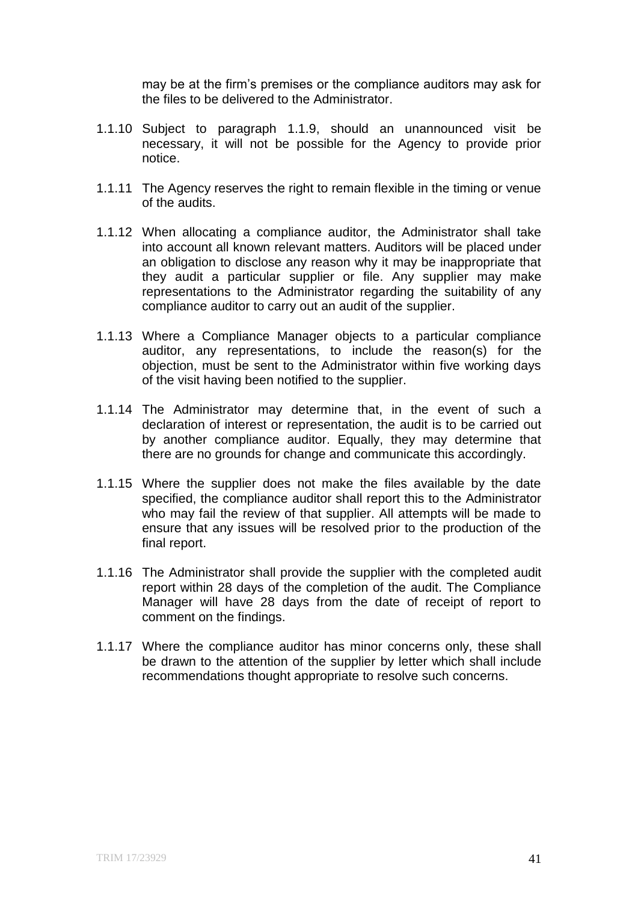may be at the firm's premises or the compliance auditors may ask for the files to be delivered to the Administrator.

- 1.1.10 Subject to paragraph 1.1.9, should an unannounced visit be necessary, it will not be possible for the Agency to provide prior notice.
- 1.1.11 The Agency reserves the right to remain flexible in the timing or venue of the audits.
- 1.1.12 When allocating a compliance auditor, the Administrator shall take into account all known relevant matters. Auditors will be placed under an obligation to disclose any reason why it may be inappropriate that they audit a particular supplier or file. Any supplier may make representations to the Administrator regarding the suitability of any compliance auditor to carry out an audit of the supplier.
- 1.1.13 Where a Compliance Manager objects to a particular compliance auditor, any representations, to include the reason(s) for the objection, must be sent to the Administrator within five working days of the visit having been notified to the supplier.
- 1.1.14 The Administrator may determine that, in the event of such a declaration of interest or representation, the audit is to be carried out by another compliance auditor. Equally, they may determine that there are no grounds for change and communicate this accordingly.
- 1.1.15 Where the supplier does not make the files available by the date specified, the compliance auditor shall report this to the Administrator who may fail the review of that supplier. All attempts will be made to ensure that any issues will be resolved prior to the production of the final report.
- 1.1.16 The Administrator shall provide the supplier with the completed audit report within 28 days of the completion of the audit. The Compliance Manager will have 28 days from the date of receipt of report to comment on the findings.
- 1.1.17 Where the compliance auditor has minor concerns only, these shall be drawn to the attention of the supplier by letter which shall include recommendations thought appropriate to resolve such concerns.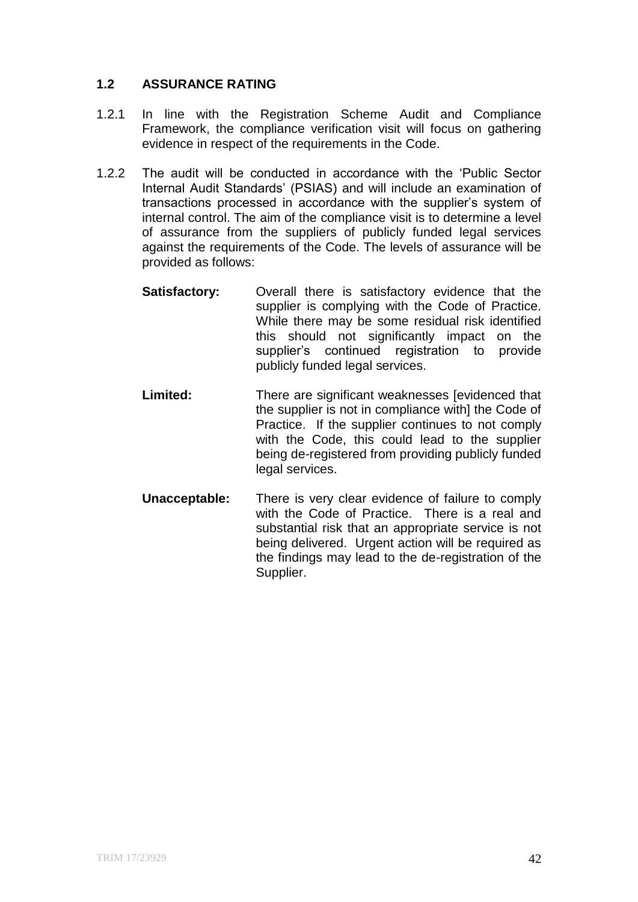# **1.2 ASSURANCE RATING**

- 1.2.1 In line with the Registration Scheme Audit and Compliance Framework, the compliance verification visit will focus on gathering evidence in respect of the requirements in the Code.
- 1.2.2 The audit will be conducted in accordance with the 'Public Sector Internal Audit Standards' (PSIAS) and will include an examination of transactions processed in accordance with the supplier's system of internal control. The aim of the compliance visit is to determine a level of assurance from the suppliers of publicly funded legal services against the requirements of the Code. The levels of assurance will be provided as follows:
	- **Satisfactory:** Overall there is satisfactory evidence that the supplier is complying with the Code of Practice. While there may be some residual risk identified this should not significantly impact on the supplier's continued registration to provide publicly funded legal services.
	- **Limited:** There are significant weaknesses levidenced that the supplier is not in compliance with] the Code of Practice. If the supplier continues to not comply with the Code, this could lead to the supplier being de-registered from providing publicly funded legal services.
	- **Unacceptable:** There is very clear evidence of failure to comply with the Code of Practice. There is a real and substantial risk that an appropriate service is not being delivered. Urgent action will be required as the findings may lead to the de-registration of the Supplier.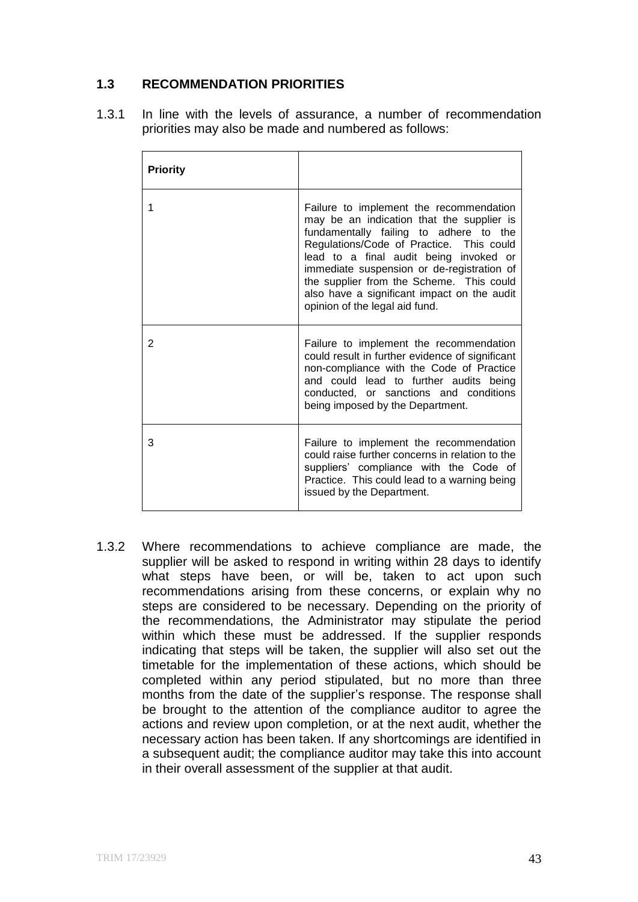# **1.3 RECOMMENDATION PRIORITIES**

1.3.1 In line with the levels of assurance, a number of recommendation priorities may also be made and numbered as follows:

| <b>Priority</b> |                                                                                                                                                                                                                                                                                                                                                                                                 |
|-----------------|-------------------------------------------------------------------------------------------------------------------------------------------------------------------------------------------------------------------------------------------------------------------------------------------------------------------------------------------------------------------------------------------------|
| 1               | Failure to implement the recommendation<br>may be an indication that the supplier is<br>fundamentally failing to adhere to the<br>Regulations/Code of Practice. This could<br>lead to a final audit being invoked or<br>immediate suspension or de-registration of<br>the supplier from the Scheme. This could<br>also have a significant impact on the audit<br>opinion of the legal aid fund. |
| 2               | Failure to implement the recommendation<br>could result in further evidence of significant<br>non-compliance with the Code of Practice<br>and could lead to further audits being<br>conducted, or sanctions and conditions<br>being imposed by the Department.                                                                                                                                  |
| 3               | Failure to implement the recommendation<br>could raise further concerns in relation to the<br>suppliers' compliance with the Code of<br>Practice. This could lead to a warning being<br>issued by the Department.                                                                                                                                                                               |

1.3.2 Where recommendations to achieve compliance are made, the supplier will be asked to respond in writing within 28 days to identify what steps have been, or will be, taken to act upon such recommendations arising from these concerns, or explain why no steps are considered to be necessary. Depending on the priority of the recommendations, the Administrator may stipulate the period within which these must be addressed. If the supplier responds indicating that steps will be taken, the supplier will also set out the timetable for the implementation of these actions, which should be completed within any period stipulated, but no more than three months from the date of the supplier's response. The response shall be brought to the attention of the compliance auditor to agree the actions and review upon completion, or at the next audit, whether the necessary action has been taken. If any shortcomings are identified in a subsequent audit; the compliance auditor may take this into account in their overall assessment of the supplier at that audit.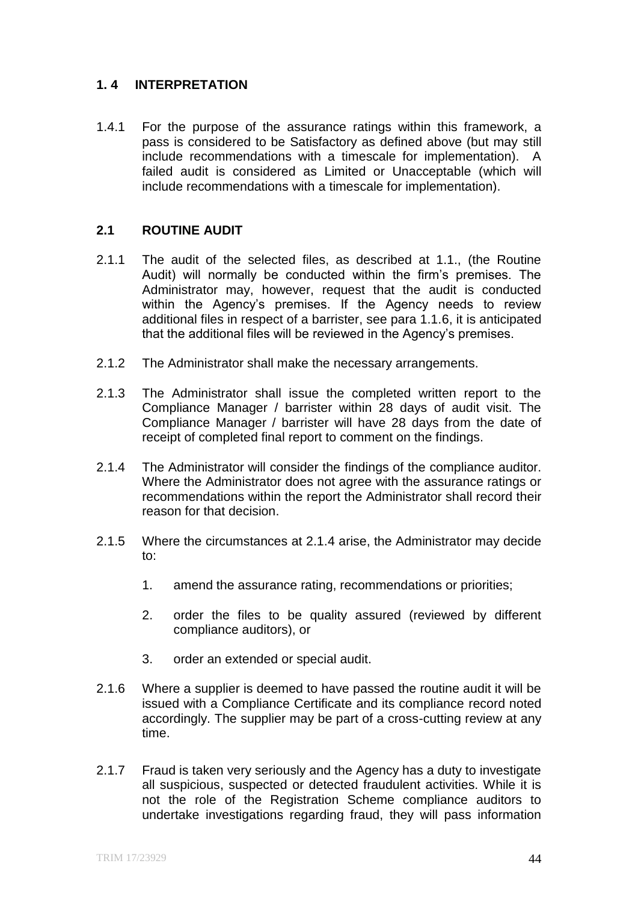# **1. 4 INTERPRETATION**

1.4.1 For the purpose of the assurance ratings within this framework, a pass is considered to be Satisfactory as defined above (but may still include recommendations with a timescale for implementation). A failed audit is considered as Limited or Unacceptable (which will include recommendations with a timescale for implementation).

# **2.1 ROUTINE AUDIT**

- 2.1.1 The audit of the selected files, as described at 1.1., (the Routine Audit) will normally be conducted within the firm's premises. The Administrator may, however, request that the audit is conducted within the Agency's premises. If the Agency needs to review additional files in respect of a barrister, see para 1.1.6, it is anticipated that the additional files will be reviewed in the Agency's premises.
- 2.1.2 The Administrator shall make the necessary arrangements.
- 2.1.3 The Administrator shall issue the completed written report to the Compliance Manager / barrister within 28 days of audit visit. The Compliance Manager / barrister will have 28 days from the date of receipt of completed final report to comment on the findings.
- 2.1.4 The Administrator will consider the findings of the compliance auditor. Where the Administrator does not agree with the assurance ratings or recommendations within the report the Administrator shall record their reason for that decision.
- 2.1.5 Where the circumstances at 2.1.4 arise, the Administrator may decide to:
	- 1. amend the assurance rating, recommendations or priorities;
	- 2. order the files to be quality assured (reviewed by different compliance auditors), or
	- 3. order an extended or special audit.
- 2.1.6 Where a supplier is deemed to have passed the routine audit it will be issued with a Compliance Certificate and its compliance record noted accordingly. The supplier may be part of a cross-cutting review at any time.
- 2.1.7 Fraud is taken very seriously and the Agency has a duty to investigate all suspicious, suspected or detected fraudulent activities. While it is not the role of the Registration Scheme compliance auditors to undertake investigations regarding fraud, they will pass information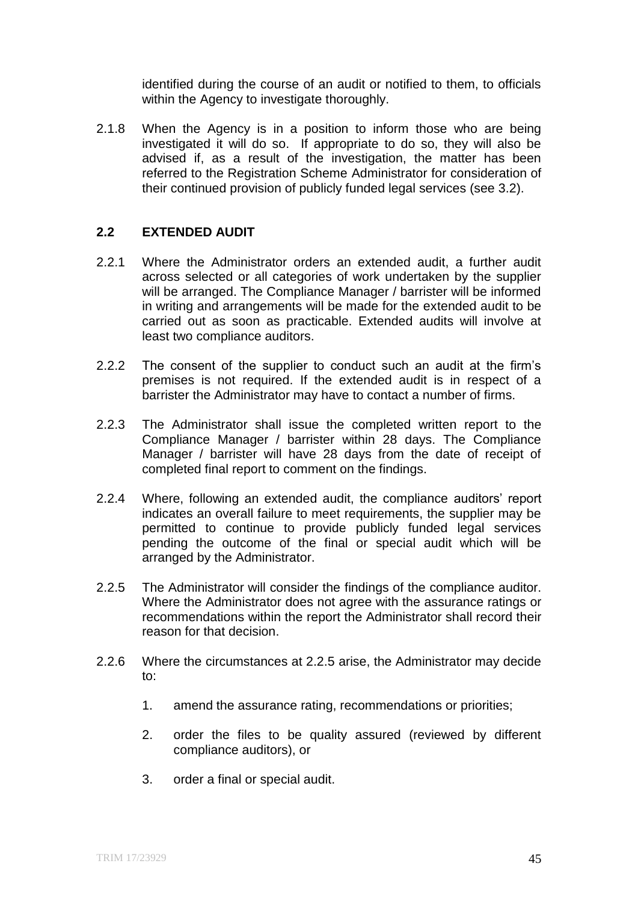identified during the course of an audit or notified to them, to officials within the Agency to investigate thoroughly.

2.1.8 When the Agency is in a position to inform those who are being investigated it will do so. If appropriate to do so, they will also be advised if, as a result of the investigation, the matter has been referred to the Registration Scheme Administrator for consideration of their continued provision of publicly funded legal services (see 3.2).

# **2.2 EXTENDED AUDIT**

- 2.2.1 Where the Administrator orders an extended audit, a further audit across selected or all categories of work undertaken by the supplier will be arranged. The Compliance Manager / barrister will be informed in writing and arrangements will be made for the extended audit to be carried out as soon as practicable. Extended audits will involve at least two compliance auditors.
- 2.2.2 The consent of the supplier to conduct such an audit at the firm's premises is not required. If the extended audit is in respect of a barrister the Administrator may have to contact a number of firms.
- 2.2.3 The Administrator shall issue the completed written report to the Compliance Manager / barrister within 28 days. The Compliance Manager / barrister will have 28 days from the date of receipt of completed final report to comment on the findings.
- 2.2.4 Where, following an extended audit, the compliance auditors' report indicates an overall failure to meet requirements, the supplier may be permitted to continue to provide publicly funded legal services pending the outcome of the final or special audit which will be arranged by the Administrator.
- 2.2.5 The Administrator will consider the findings of the compliance auditor. Where the Administrator does not agree with the assurance ratings or recommendations within the report the Administrator shall record their reason for that decision.
- 2.2.6 Where the circumstances at 2.2.5 arise, the Administrator may decide to:
	- 1. amend the assurance rating, recommendations or priorities;
	- 2. order the files to be quality assured (reviewed by different compliance auditors), or
	- 3. order a final or special audit.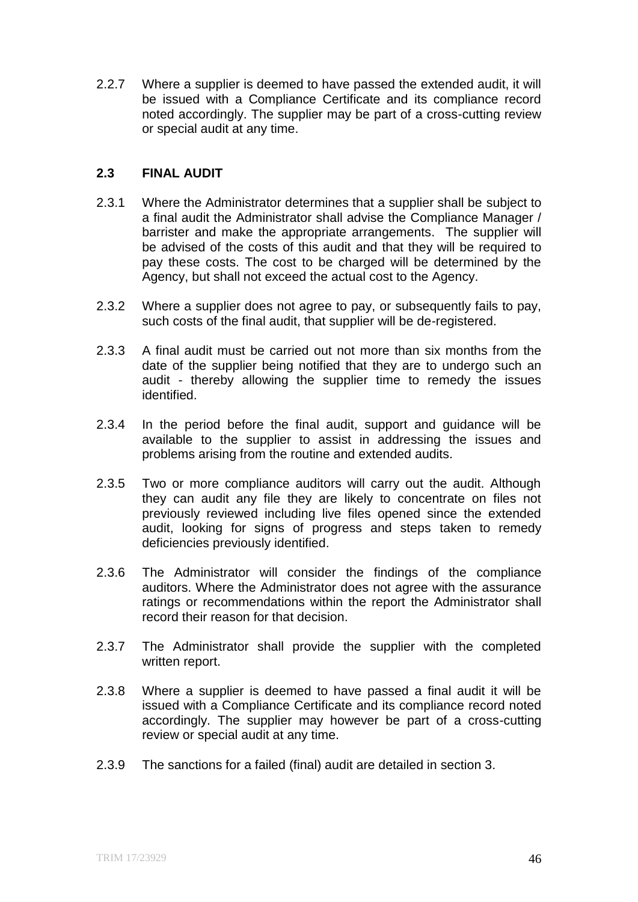2.2.7 Where a supplier is deemed to have passed the extended audit, it will be issued with a Compliance Certificate and its compliance record noted accordingly. The supplier may be part of a cross-cutting review or special audit at any time.

#### **2.3 FINAL AUDIT**

- 2.3.1 Where the Administrator determines that a supplier shall be subject to a final audit the Administrator shall advise the Compliance Manager / barrister and make the appropriate arrangements. The supplier will be advised of the costs of this audit and that they will be required to pay these costs. The cost to be charged will be determined by the Agency, but shall not exceed the actual cost to the Agency.
- 2.3.2 Where a supplier does not agree to pay, or subsequently fails to pay, such costs of the final audit, that supplier will be de-registered.
- 2.3.3 A final audit must be carried out not more than six months from the date of the supplier being notified that they are to undergo such an audit - thereby allowing the supplier time to remedy the issues identified.
- 2.3.4 In the period before the final audit, support and guidance will be available to the supplier to assist in addressing the issues and problems arising from the routine and extended audits.
- 2.3.5 Two or more compliance auditors will carry out the audit. Although they can audit any file they are likely to concentrate on files not previously reviewed including live files opened since the extended audit, looking for signs of progress and steps taken to remedy deficiencies previously identified.
- 2.3.6 The Administrator will consider the findings of the compliance auditors. Where the Administrator does not agree with the assurance ratings or recommendations within the report the Administrator shall record their reason for that decision.
- 2.3.7 The Administrator shall provide the supplier with the completed written report.
- 2.3.8 Where a supplier is deemed to have passed a final audit it will be issued with a Compliance Certificate and its compliance record noted accordingly. The supplier may however be part of a cross-cutting review or special audit at any time.
- 2.3.9 The sanctions for a failed (final) audit are detailed in section 3.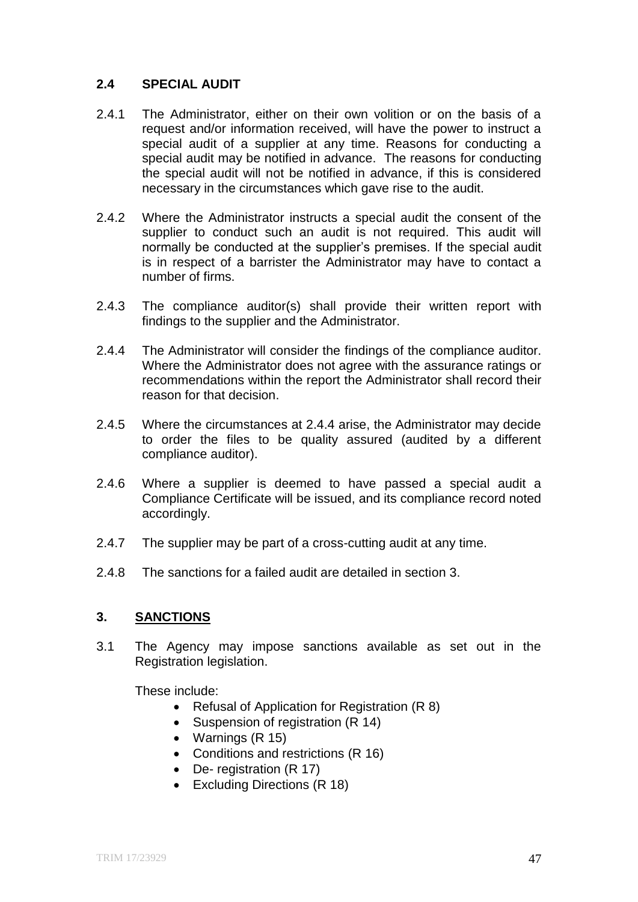# **2.4 SPECIAL AUDIT**

- 2.4.1 The Administrator, either on their own volition or on the basis of a request and/or information received, will have the power to instruct a special audit of a supplier at any time. Reasons for conducting a special audit may be notified in advance. The reasons for conducting the special audit will not be notified in advance, if this is considered necessary in the circumstances which gave rise to the audit.
- 2.4.2 Where the Administrator instructs a special audit the consent of the supplier to conduct such an audit is not required. This audit will normally be conducted at the supplier's premises. If the special audit is in respect of a barrister the Administrator may have to contact a number of firms.
- 2.4.3 The compliance auditor(s) shall provide their written report with findings to the supplier and the Administrator.
- 2.4.4 The Administrator will consider the findings of the compliance auditor. Where the Administrator does not agree with the assurance ratings or recommendations within the report the Administrator shall record their reason for that decision.
- 2.4.5 Where the circumstances at 2.4.4 arise, the Administrator may decide to order the files to be quality assured (audited by a different compliance auditor).
- 2.4.6 Where a supplier is deemed to have passed a special audit a Compliance Certificate will be issued, and its compliance record noted accordingly.
- 2.4.7 The supplier may be part of a cross-cutting audit at any time.
- 2.4.8 The sanctions for a failed audit are detailed in section 3.

# **3. SANCTIONS**

3.1 The Agency may impose sanctions available as set out in the Registration legislation.

These include:

- Refusal of Application for Registration (R 8)
- Suspension of registration (R 14)
- Warnings (R 15)
- Conditions and restrictions (R 16)
- De- registration (R 17)
- Excluding Directions (R 18)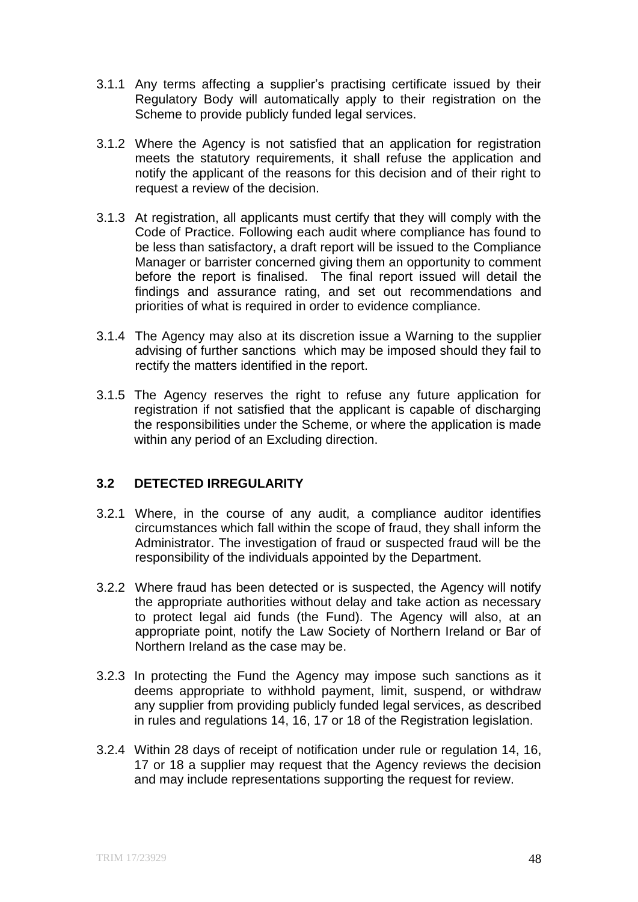- 3.1.1 Any terms affecting a supplier's practising certificate issued by their Regulatory Body will automatically apply to their registration on the Scheme to provide publicly funded legal services.
- 3.1.2 Where the Agency is not satisfied that an application for registration meets the statutory requirements, it shall refuse the application and notify the applicant of the reasons for this decision and of their right to request a review of the decision.
- 3.1.3 At registration, all applicants must certify that they will comply with the Code of Practice. Following each audit where compliance has found to be less than satisfactory, a draft report will be issued to the Compliance Manager or barrister concerned giving them an opportunity to comment before the report is finalised. The final report issued will detail the findings and assurance rating, and set out recommendations and priorities of what is required in order to evidence compliance.
- 3.1.4 The Agency may also at its discretion issue a Warning to the supplier advising of further sanctions which may be imposed should they fail to rectify the matters identified in the report.
- 3.1.5 The Agency reserves the right to refuse any future application for registration if not satisfied that the applicant is capable of discharging the responsibilities under the Scheme, or where the application is made within any period of an Excluding direction.

# **3.2 DETECTED IRREGULARITY**

- 3.2.1 Where, in the course of any audit, a compliance auditor identifies circumstances which fall within the scope of fraud, they shall inform the Administrator. The investigation of fraud or suspected fraud will be the responsibility of the individuals appointed by the Department.
- 3.2.2 Where fraud has been detected or is suspected, the Agency will notify the appropriate authorities without delay and take action as necessary to protect legal aid funds (the Fund). The Agency will also, at an appropriate point, notify the Law Society of Northern Ireland or Bar of Northern Ireland as the case may be.
- 3.2.3 In protecting the Fund the Agency may impose such sanctions as it deems appropriate to withhold payment, limit, suspend, or withdraw any supplier from providing publicly funded legal services, as described in rules and regulations 14, 16, 17 or 18 of the Registration legislation.
- 3.2.4 Within 28 days of receipt of notification under rule or regulation 14, 16, 17 or 18 a supplier may request that the Agency reviews the decision and may include representations supporting the request for review.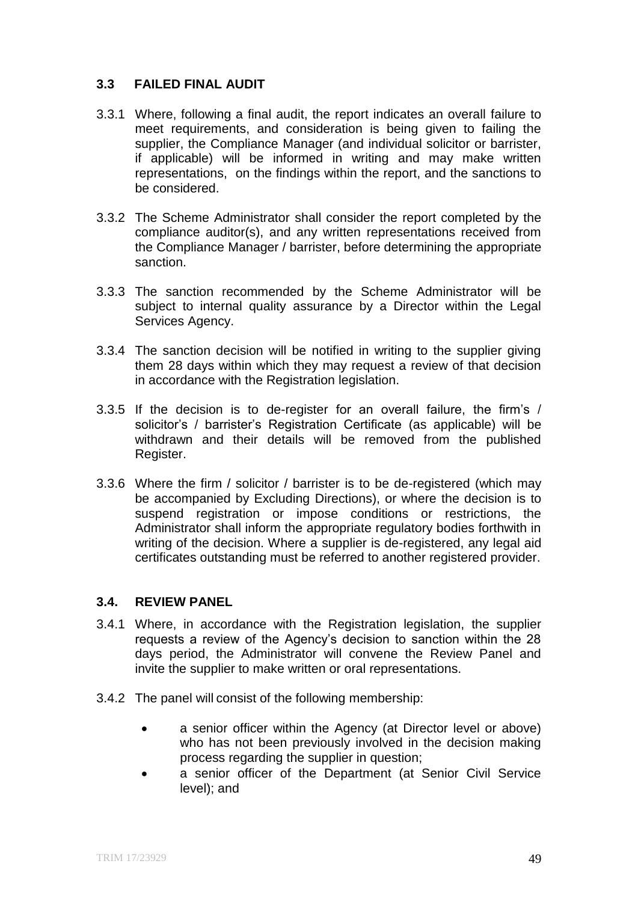# **3.3 FAILED FINAL AUDIT**

- 3.3.1 Where, following a final audit, the report indicates an overall failure to meet requirements, and consideration is being given to failing the supplier, the Compliance Manager (and individual solicitor or barrister, if applicable) will be informed in writing and may make written representations, on the findings within the report, and the sanctions to be considered.
- 3.3.2 The Scheme Administrator shall consider the report completed by the compliance auditor(s), and any written representations received from the Compliance Manager / barrister, before determining the appropriate sanction.
- 3.3.3 The sanction recommended by the Scheme Administrator will be subject to internal quality assurance by a Director within the Legal Services Agency.
- 3.3.4 The sanction decision will be notified in writing to the supplier giving them 28 days within which they may request a review of that decision in accordance with the Registration legislation.
- 3.3.5 If the decision is to de-register for an overall failure, the firm's / solicitor's / barrister's Registration Certificate (as applicable) will be withdrawn and their details will be removed from the published Register.
- 3.3.6 Where the firm / solicitor / barrister is to be de-registered (which may be accompanied by Excluding Directions), or where the decision is to suspend registration or impose conditions or restrictions, the Administrator shall inform the appropriate regulatory bodies forthwith in writing of the decision. Where a supplier is de-registered, any legal aid certificates outstanding must be referred to another registered provider.

# **3.4. REVIEW PANEL**

- 3.4.1 Where, in accordance with the Registration legislation, the supplier requests a review of the Agency's decision to sanction within the 28 days period, the Administrator will convene the Review Panel and invite the supplier to make written or oral representations.
- 3.4.2 The panel will consist of the following membership:
	- a senior officer within the Agency (at Director level or above) who has not been previously involved in the decision making process regarding the supplier in question;
	- a senior officer of the Department (at Senior Civil Service level); and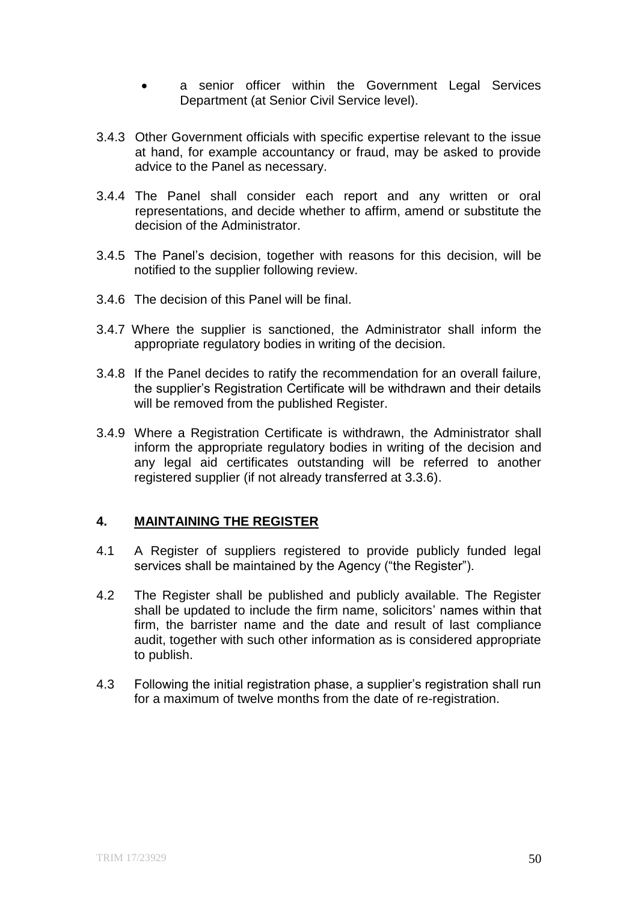- a senior officer within the Government Legal Services Department (at Senior Civil Service level).
- 3.4.3 Other Government officials with specific expertise relevant to the issue at hand, for example accountancy or fraud, may be asked to provide advice to the Panel as necessary.
- 3.4.4 The Panel shall consider each report and any written or oral representations, and decide whether to affirm, amend or substitute the decision of the Administrator.
- 3.4.5 The Panel's decision, together with reasons for this decision, will be notified to the supplier following review.
- 3.4.6 The decision of this Panel will be final.
- 3.4.7 Where the supplier is sanctioned, the Administrator shall inform the appropriate regulatory bodies in writing of the decision.
- 3.4.8 If the Panel decides to ratify the recommendation for an overall failure, the supplier's Registration Certificate will be withdrawn and their details will be removed from the published Register.
- 3.4.9 Where a Registration Certificate is withdrawn, the Administrator shall inform the appropriate regulatory bodies in writing of the decision and any legal aid certificates outstanding will be referred to another registered supplier (if not already transferred at 3.3.6).

# **4. MAINTAINING THE REGISTER**

- 4.1 A Register of suppliers registered to provide publicly funded legal services shall be maintained by the Agency ("the Register").
- 4.2 The Register shall be published and publicly available. The Register shall be updated to include the firm name, solicitors' names within that firm, the barrister name and the date and result of last compliance audit, together with such other information as is considered appropriate to publish.
- 4.3 Following the initial registration phase, a supplier's registration shall run for a maximum of twelve months from the date of re-registration.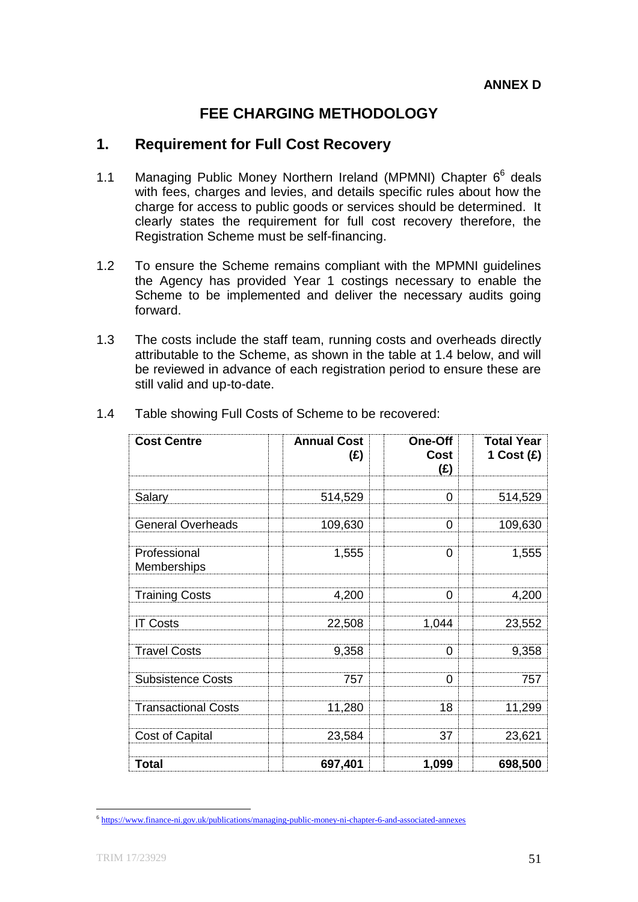# **FEE CHARGING METHODOLOGY**

# **1. Requirement for Full Cost Recovery**

- 1.1 Managing Public Money Northern Ireland (MPMNI) Chapter 6<sup>6</sup> deals with fees, charges and levies, and details specific rules about how the charge for access to public goods or services should be determined. It clearly states the requirement for full cost recovery therefore, the Registration Scheme must be self-financing.
- 1.2 To ensure the Scheme remains compliant with the MPMNI guidelines the Agency has provided Year 1 costings necessary to enable the Scheme to be implemented and deliver the necessary audits going forward.
- 1.3 The costs include the staff team, running costs and overheads directly attributable to the Scheme, as shown in the table at 1.4 below, and will be reviewed in advance of each registration period to ensure these are still valid and up-to-date.

| <b>Cost Centre</b>          | <b>Annual Cost</b><br>(£) | One-Off<br>Cost<br>(E) | <b>Total Year</b><br>1 Cost $(E)$ |
|-----------------------------|---------------------------|------------------------|-----------------------------------|
| Salary                      | 514,529                   | 0                      | 514,529                           |
| <b>General Overheads</b>    | 109,630                   | 0                      | 109,630                           |
| Professional<br>Memberships | 1,555                     | 0                      | 1,555                             |
| <b>Training Costs</b>       | 4,200                     | 0                      | 4,200                             |
| <b>IT Costs</b>             | 22,508                    | 1,044                  | 23,552                            |
| <b>Travel Costs</b>         | 9,358                     | 0                      | 9,358                             |
| <b>Subsistence Costs</b>    | 757                       | 0                      | 757                               |
| <b>Transactional Costs</b>  | 11,280                    | 18                     | 11,299                            |
| Cost of Capital             | 23,584                    | 37                     | 23,621                            |
| Total                       | 697,401                   | 1,099                  | 698,500                           |

1.4 Table showing Full Costs of Scheme to be recovered:

**<sup>.</sup>** 6 <https://www.finance-ni.gov.uk/publications/managing-public-money-ni-chapter-6-and-associated-annexes>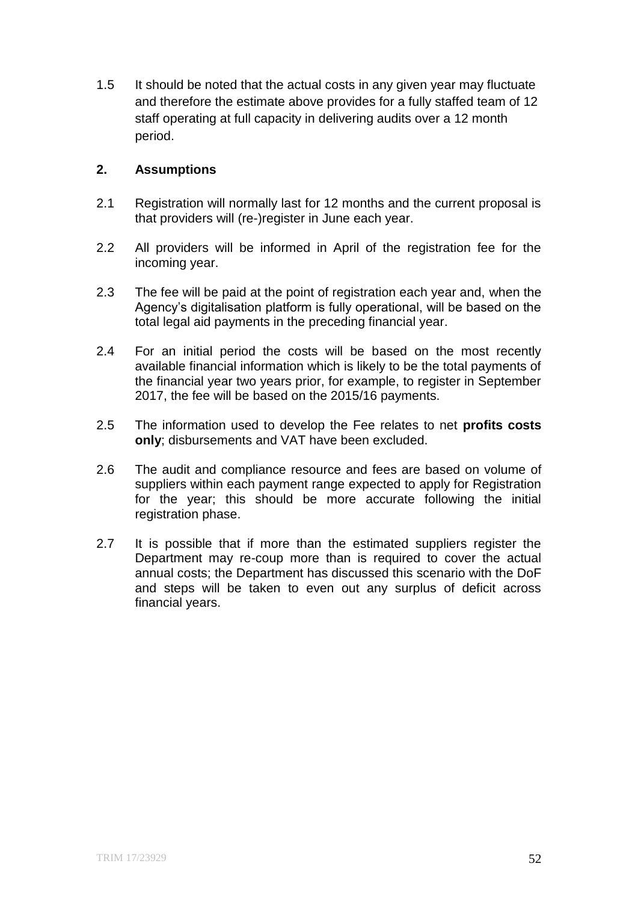1.5 It should be noted that the actual costs in any given year may fluctuate and therefore the estimate above provides for a fully staffed team of 12 staff operating at full capacity in delivering audits over a 12 month period.

# **2. Assumptions**

- 2.1 Registration will normally last for 12 months and the current proposal is that providers will (re-)register in June each year.
- 2.2 All providers will be informed in April of the registration fee for the incoming year.
- 2.3 The fee will be paid at the point of registration each year and, when the Agency's digitalisation platform is fully operational, will be based on the total legal aid payments in the preceding financial year.
- 2.4 For an initial period the costs will be based on the most recently available financial information which is likely to be the total payments of the financial year two years prior, for example, to register in September 2017, the fee will be based on the 2015/16 payments.
- 2.5 The information used to develop the Fee relates to net **profits costs only**; disbursements and VAT have been excluded.
- 2.6 The audit and compliance resource and fees are based on volume of suppliers within each payment range expected to apply for Registration for the year; this should be more accurate following the initial registration phase.
- 2.7 It is possible that if more than the estimated suppliers register the Department may re-coup more than is required to cover the actual annual costs; the Department has discussed this scenario with the DoF and steps will be taken to even out any surplus of deficit across financial years.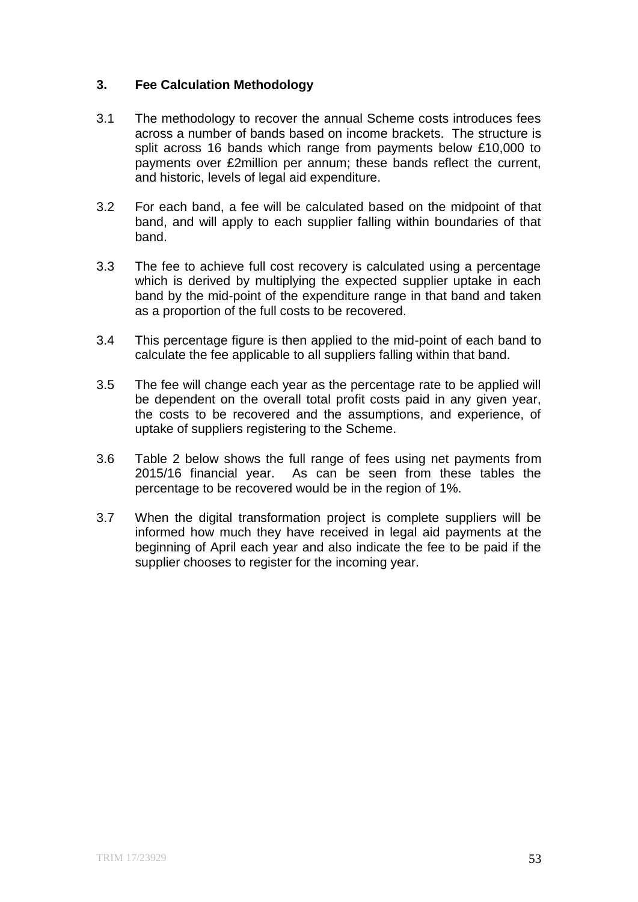# **3. Fee Calculation Methodology**

- 3.1 The methodology to recover the annual Scheme costs introduces fees across a number of bands based on income brackets. The structure is split across 16 bands which range from payments below £10,000 to payments over £2million per annum; these bands reflect the current, and historic, levels of legal aid expenditure.
- 3.2 For each band, a fee will be calculated based on the midpoint of that band, and will apply to each supplier falling within boundaries of that band.
- 3.3 The fee to achieve full cost recovery is calculated using a percentage which is derived by multiplying the expected supplier uptake in each band by the mid-point of the expenditure range in that band and taken as a proportion of the full costs to be recovered.
- 3.4 This percentage figure is then applied to the mid-point of each band to calculate the fee applicable to all suppliers falling within that band.
- 3.5 The fee will change each year as the percentage rate to be applied will be dependent on the overall total profit costs paid in any given year, the costs to be recovered and the assumptions, and experience, of uptake of suppliers registering to the Scheme.
- 3.6 Table 2 below shows the full range of fees using net payments from 2015/16 financial year. As can be seen from these tables the percentage to be recovered would be in the region of 1%.
- 3.7 When the digital transformation project is complete suppliers will be informed how much they have received in legal aid payments at the beginning of April each year and also indicate the fee to be paid if the supplier chooses to register for the incoming year.